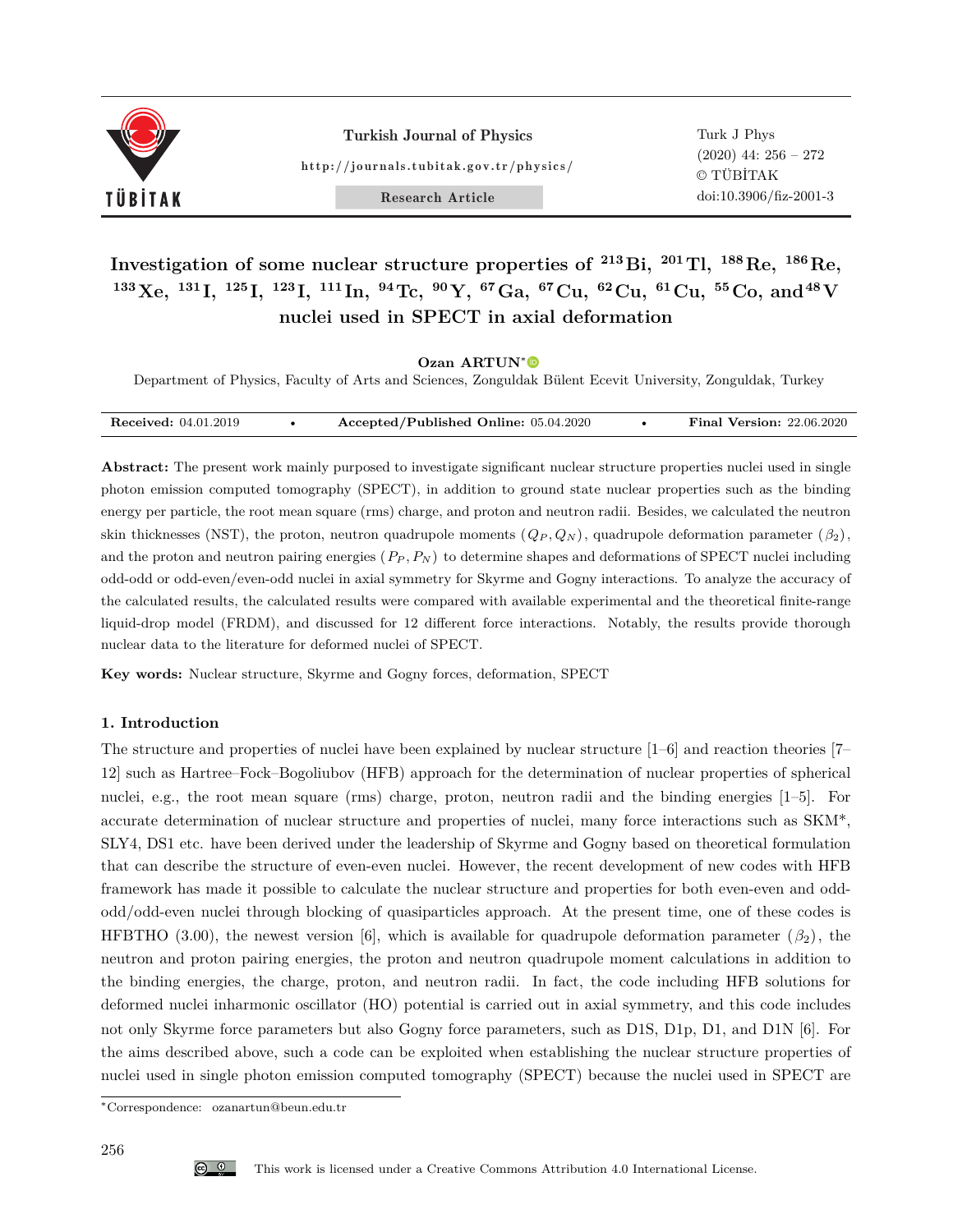

Turkish Journal of Physics http://journals.tubitak.gov.tr/physics/

Research Article

Turk J Phys (2020) 44: 256 – 272 © TÜBİTAK doi:10.3906/fiz-2001-3

**Investigation of some nuclear structure properties of <sup>213</sup>Bi, <sup>201</sup>Tl, <sup>188</sup>Re, <sup>186</sup>Re,**  $^{133}$ Xe,  $^{131}$ I,  $^{125}$ I,  $^{123}$ I,  $^{111}$ In,  $^{94}$ Tc,  $^{90}$ Y,  $^{67}$ Ga,  $^{67}$ Cu,  $^{62}$ Cu,  $^{61}$ Cu,  $^{55}$ Co, and  $^{48}$ V **nuclei used in SPECT in axial deformation**

**Ozan ARTUN**<sup>∗</sup>

Department of Physics, Faculty of Arts and Sciences, Zonguldak Bülent Ecevit University, Zonguldak, Turkey

| <b>Received:</b> 04.01.2019 | Accepted/Published Online: 05.04.2020 | <b>Final Version: 22.06.2020</b> |
|-----------------------------|---------------------------------------|----------------------------------|

**Abstract:** The present work mainly purposed to investigate significant nuclear structure properties nuclei used in single photon emission computed tomography (SPECT), in addition to ground state nuclear properties such as the binding energy per particle, the root mean square (rms) charge, and proton and neutron radii. Besides, we calculated the neutron skin thicknesses (NST), the proton, neutron quadrupole moments  $(Q_P, Q_N)$ , quadrupole deformation parameter  $(\beta_2)$ , and the proton and neutron pairing energies  $(P_P, P_N)$  to determine shapes and deformations of SPECT nuclei including odd-odd or odd-even/even-odd nuclei in axial symmetry for Skyrme and Gogny interactions. To analyze the accuracy of the calculated results, the calculated results were compared with available experimental and the theoretical finite-range liquid-drop model (FRDM), and discussed for 12 different force interactions. Notably, the results provide thorough nuclear data to the literature for deformed nuclei of SPECT.

**Key words:** Nuclear structure, Skyrme and Gogny forces, deformation, SPECT

### **1. Introduction**

The structure and properties of nuclei have been explained by nuclear structure [1–6] and reaction theories [7– 12] such as Hartree–Fock–Bogoliubov (HFB) approach for the determination of nuclear properties of spherical nuclei, e.g., the root mean square (rms) charge, proton, neutron radii and the binding energies [1–5]. For accurate determination of nuclear structure and properties of nuclei, many force interactions such as SKM\*, SLY4, DS1 etc. have been derived under the leadership of Skyrme and Gogny based on theoretical formulation that can describe the structure of even-even nuclei. However, the recent development of new codes with HFB framework has made it possible to calculate the nuclear structure and properties for both even-even and oddodd/odd-even nuclei through blocking of quasiparticles approach. At the present time, one of these codes is HFBTHO (3.00), the newest version [6], which is available for quadrupole deformation parameter ( $\beta_2$ ), the neutron and proton pairing energies, the proton and neutron quadrupole moment calculations in addition to the binding energies, the charge, proton, and neutron radii. In fact, the code including HFB solutions for deformed nuclei inharmonic oscillator (HO) potential is carried out in axial symmetry, and this code includes not only Skyrme force parameters but also Gogny force parameters, such as D1S, D1p, D1, and D1N [6]. For the aims described above, such a code can be exploited when establishing the nuclear structure properties of nuclei used in single photon emission computed tomography (SPECT) because the nuclei used in SPECT are

<sup>∗</sup>Correspondence: ozanartun@beun.edu.tr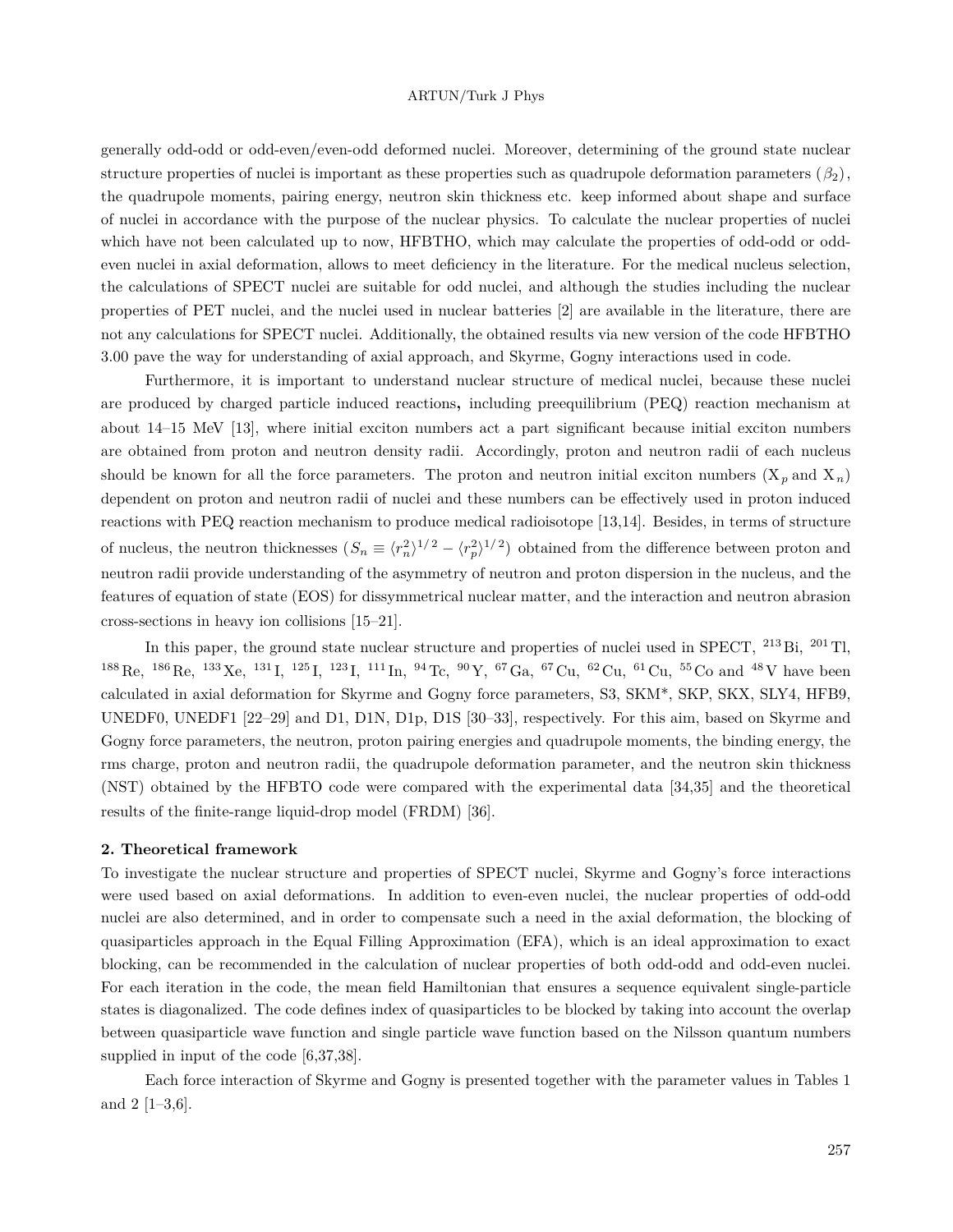generally odd-odd or odd-even/even-odd deformed nuclei. Moreover, determining of the ground state nuclear structure properties of nuclei is important as these properties such as quadrupole deformation parameters  $(\beta_2)$ , the quadrupole moments, pairing energy, neutron skin thickness etc. keep informed about shape and surface of nuclei in accordance with the purpose of the nuclear physics. To calculate the nuclear properties of nuclei which have not been calculated up to now, HFBTHO, which may calculate the properties of odd-odd or oddeven nuclei in axial deformation, allows to meet deficiency in the literature. For the medical nucleus selection, the calculations of SPECT nuclei are suitable for odd nuclei, and although the studies including the nuclear properties of PET nuclei, and the nuclei used in nuclear batteries [2] are available in the literature, there are not any calculations for SPECT nuclei. Additionally, the obtained results via new version of the code HFBTHO 3.00 pave the way for understanding of axial approach, and Skyrme, Gogny interactions used in code.

Furthermore, it is important to understand nuclear structure of medical nuclei, because these nuclei are produced by charged particle induced reactions**,** including preequilibrium (PEQ) reaction mechanism at about 14–15 MeV [13], where initial exciton numbers act a part significant because initial exciton numbers are obtained from proton and neutron density radii. Accordingly, proton and neutron radii of each nucleus should be known for all the force parameters. The proton and neutron initial exciton numbers  $(X_p \text{ and } X_p)$ dependent on proton and neutron radii of nuclei and these numbers can be effectively used in proton induced reactions with PEQ reaction mechanism to produce medical radioisotope [13,14]. Besides, in terms of structure of nucleus, the neutron thicknesses  $(S_n \equiv \langle r_n^2 \rangle^{1/2} - \langle r_p^2 \rangle^{1/2})$  obtained from the difference between proton and neutron radii provide understanding of the asymmetry of neutron and proton dispersion in the nucleus, and the features of equation of state (EOS) for dissymmetrical nuclear matter, and the interaction and neutron abrasion cross-sections in heavy ion collisions [15–21].

In this paper, the ground state nuclear structure and properties of nuclei used in SPECT, <sup>213</sup> Bi, <sup>201</sup> Tl, <sup>188</sup> Re, <sup>186</sup> Re, <sup>133</sup> Xe, <sup>131</sup> I, <sup>125</sup> I, <sup>123</sup> I, <sup>111</sup> In, <sup>94</sup> Tc, <sup>90</sup> Y, <sup>67</sup>Ga, <sup>67</sup> Cu, <sup>62</sup> Cu, <sup>61</sup> Cu, <sup>55</sup> Co and <sup>48</sup> V have been calculated in axial deformation for Skyrme and Gogny force parameters, S3, SKM\*, SKP, SKX, SLY4, HFB9, UNEDF0, UNEDF1 [22–29] and D1, D1N, D1p, D1S [30–33], respectively. For this aim, based on Skyrme and Gogny force parameters, the neutron, proton pairing energies and quadrupole moments, the binding energy, the rms charge, proton and neutron radii, the quadrupole deformation parameter, and the neutron skin thickness (NST) obtained by the HFBTO code were compared with the experimental data [34,35] and the theoretical results of the finite-range liquid-drop model (FRDM) [36].

### **2. Theoretical framework**

To investigate the nuclear structure and properties of SPECT nuclei, Skyrme and Gogny's force interactions were used based on axial deformations. In addition to even-even nuclei, the nuclear properties of odd-odd nuclei are also determined, and in order to compensate such a need in the axial deformation, the blocking of quasiparticles approach in the Equal Filling Approximation (EFA), which is an ideal approximation to exact blocking, can be recommended in the calculation of nuclear properties of both odd-odd and odd-even nuclei. For each iteration in the code, the mean field Hamiltonian that ensures a sequence equivalent single-particle states is diagonalized. The code defines index of quasiparticles to be blocked by taking into account the overlap between quasiparticle wave function and single particle wave function based on the Nilsson quantum numbers supplied in input of the code [6,37,38].

Each force interaction of Skyrme and Gogny is presented together with the parameter values in Tables 1 and  $2$  [1–3,6].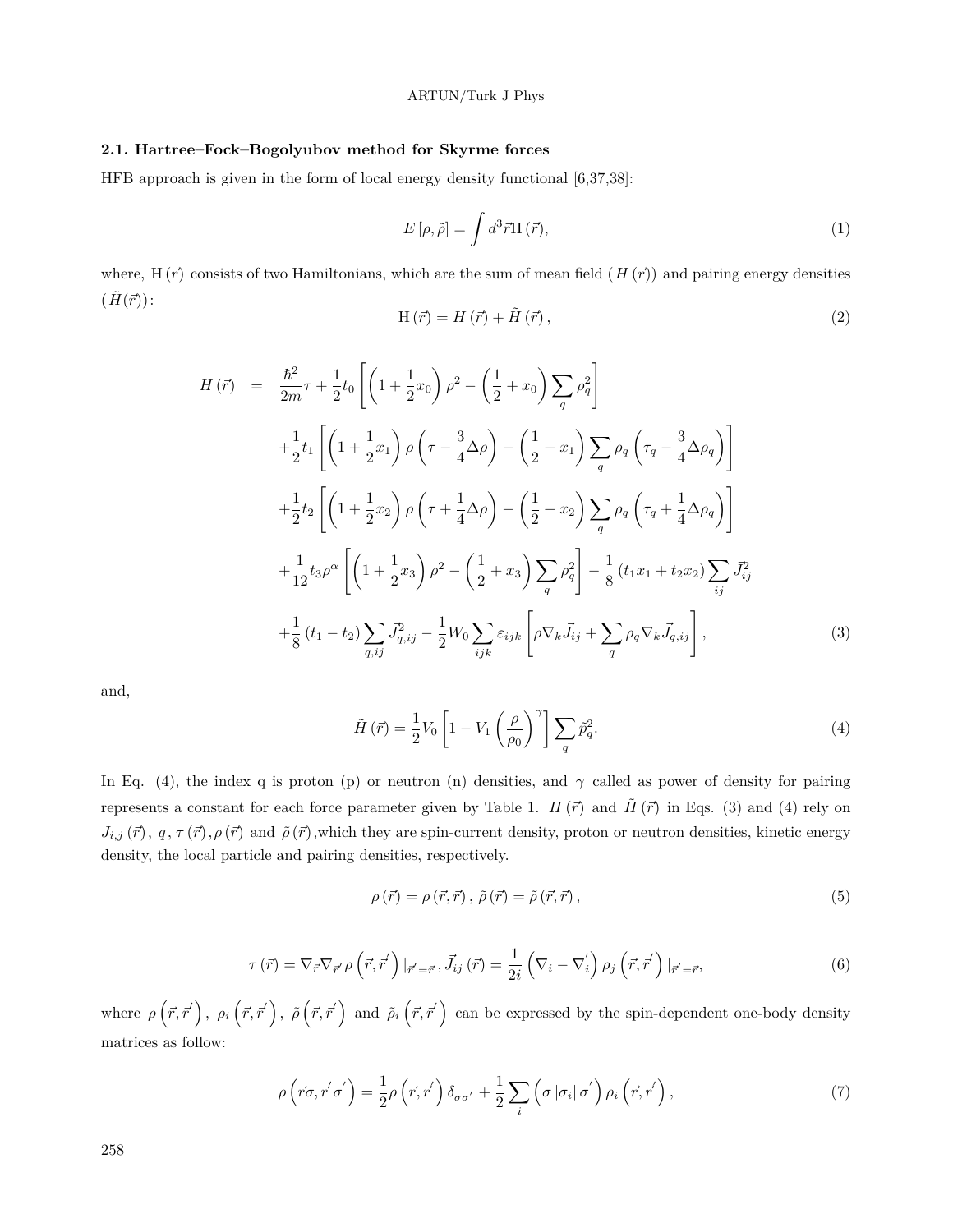### **2.1. Hartree–Fock–Bogolyubov method for Skyrme forces**

HFB approach is given in the form of local energy density functional [6,37,38]:

$$
E\left[\rho,\tilde{\rho}\right] = \int d^3\vec{r} \mathbf{H}\left(\vec{r}\right),\tag{1}
$$

where, H  $(\vec{r})$  consists of two Hamiltonians, which are the sum of mean field  $(H(\vec{r}))$  and pairing energy densities  $(\tilde{H}(\vec{r}))$ :

$$
H(\vec{r}) = H(\vec{r}) + \tilde{H}(\vec{r}),\tag{2}
$$

$$
H(\vec{r}) = \frac{\hbar^2}{2m}\tau + \frac{1}{2}t_0 \left[ \left( 1 + \frac{1}{2}x_0 \right) \rho^2 - \left( \frac{1}{2} + x_0 \right) \sum_q \rho_q^2 \right] + \frac{1}{2}t_1 \left[ \left( 1 + \frac{1}{2}x_1 \right) \rho \left( \tau - \frac{3}{4}\Delta\rho \right) - \left( \frac{1}{2} + x_1 \right) \sum_q \rho_q \left( \tau_q - \frac{3}{4}\Delta\rho_q \right) \right] + \frac{1}{2}t_2 \left[ \left( 1 + \frac{1}{2}x_2 \right) \rho \left( \tau + \frac{1}{4}\Delta\rho \right) - \left( \frac{1}{2} + x_2 \right) \sum_q \rho_q \left( \tau_q + \frac{1}{4}\Delta\rho_q \right) \right] + \frac{1}{12}t_3\rho^{\alpha} \left[ \left( 1 + \frac{1}{2}x_3 \right) \rho^2 - \left( \frac{1}{2} + x_3 \right) \sum_q \rho_q^2 \right] - \frac{1}{8} \left( t_1x_1 + t_2x_2 \right) \sum_{ij} \vec{J}_{ij}^2 + \frac{1}{8} \left( t_1 - t_2 \right) \sum_{q,ij} \vec{J}_{q,ij}^2 - \frac{1}{2} W_0 \sum_{ijk} \varepsilon_{ijk} \left[ \rho \nabla_k \vec{J}_{ij} + \sum_q \rho_q \nabla_k \vec{J}_{q,ij} \right],
$$
(3)

and,

$$
\tilde{H}(\vec{r}) = \frac{1}{2}V_0 \left[1 - V_1 \left(\frac{\rho}{\rho_0}\right)^{\gamma}\right] \sum_q \tilde{p}_q^2.
$$
\n(4)

In Eq. (4), the index q is proton (p) or neutron (n) densities, and  $\gamma$  called as power of density for pairing represents a constant for each force parameter given by Table 1.  $H(\vec{r})$  and  $\tilde{H}(\vec{r})$  in Eqs. (3) and (4) rely on  $J_{i,j}(\vec{r})$ ,  $q, \tau(\vec{r}), \rho(\vec{r})$  and  $\tilde{\rho}(\vec{r})$ ,which they are spin-current density, proton or neutron densities, kinetic energy density, the local particle and pairing densities, respectively.

$$
\rho(\vec{r}) = \rho(\vec{r}, \vec{r}), \tilde{\rho}(\vec{r}) = \tilde{\rho}(\vec{r}, \vec{r}), \qquad (5)
$$

$$
\tau\left(\vec{r}\right) = \nabla_{\vec{r}}\nabla_{\vec{r}'}\rho\left(\vec{r},\vec{r}'\right)|_{\vec{r}'=\vec{r}},\vec{J}_{ij}\left(\vec{r}\right) = \frac{1}{2i}\left(\nabla_i-\nabla_i'\right)\rho_j\left(\vec{r},\vec{r}'\right)|_{\vec{r}'=\vec{r}},\tag{6}
$$

where  $\rho(\vec{r},\vec{r}')$ ,  $\rho_i(\vec{r},\vec{r}')$ ,  $\tilde{\rho}(\vec{r},\vec{r}')$  and  $\tilde{\rho}_i(\vec{r},\vec{r}')$  can be expressed by the spin-dependent one-body density matrices as follow:

$$
\rho\left(\vec{r}\sigma,\vec{r}'\sigma'\right) = \frac{1}{2}\rho\left(\vec{r},\vec{r}'\right)\delta_{\sigma\sigma'} + \frac{1}{2}\sum_{i}\left(\sigma\left|\sigma_{i}\right|\sigma'\right)\rho_{i}\left(\vec{r},\vec{r}'\right),\tag{7}
$$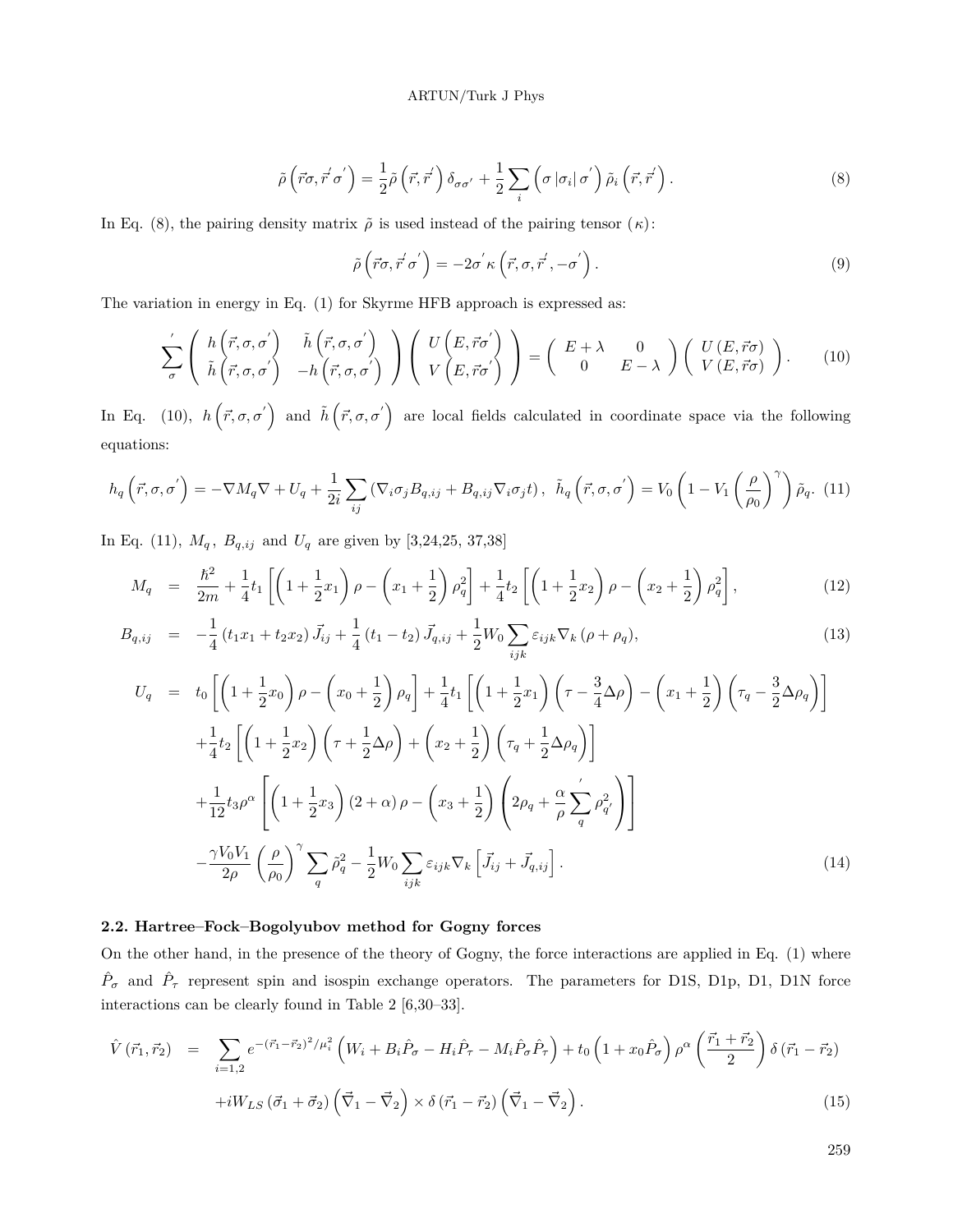$$
\tilde{\rho}\left(\vec{r}\sigma,\vec{r}'\sigma'\right) = \frac{1}{2}\tilde{\rho}\left(\vec{r},\vec{r}'\right)\delta_{\sigma\sigma'} + \frac{1}{2}\sum_{i}\left(\sigma\left|\sigma_{i}\right|\sigma'\right)\tilde{\rho}_{i}\left(\vec{r},\vec{r}'\right). \tag{8}
$$

In Eq. (8), the pairing density matrix  $\tilde{\rho}$  is used instead of the pairing tensor (*κ*):

$$
\tilde{\rho}\left(\vec{r}\sigma,\vec{r}'\sigma'\right) = -2\sigma'\kappa\left(\vec{r},\sigma,\vec{r}',-\sigma'\right). \tag{9}
$$

The variation in energy in Eq. (1) for Skyrme HFB approach is expressed as:

$$
\sum_{\sigma}^{\prime} \left( \begin{array}{c} h\left(\vec{r},\sigma,\sigma^{'}\right) & \tilde{h}\left(\vec{r},\sigma,\sigma^{'}\right) \\ \tilde{h}\left(\vec{r},\sigma,\sigma^{'}\right) & -h\left(\vec{r},\sigma,\sigma^{'}\right) \end{array} \right) \left( \begin{array}{c} U\left(E,\vec{r}\sigma^{'}\right) \\ V\left(E,\vec{r}\sigma^{'}\right) \end{array} \right) = \left( \begin{array}{cc} E+\lambda & 0 \\ 0 & E-\lambda \end{array} \right) \left( \begin{array}{c} U\left(E,\vec{r}\sigma\right) \\ V\left(E,\vec{r}\sigma\right) \end{array} \right). \tag{10}
$$

In Eq. (10),  $h(\vec{r}, \sigma, \sigma')$  and  $\tilde{h}(\vec{r}, \sigma, \sigma')$  are local fields calculated in coordinate space via the following equations:

$$
h_q\left(\vec{r},\sigma,\sigma^{'}\right) = -\nabla M_q \nabla + U_q + \frac{1}{2i} \sum_{ij} \left(\nabla_i \sigma_j B_{q,ij} + B_{q,ij} \nabla_i \sigma_j t\right), \quad \tilde{h}_q\left(\vec{r},\sigma,\sigma^{'}\right) = V_0 \left(1 - V_1 \left(\frac{\rho}{\rho_0}\right)^{\gamma}\right) \tilde{\rho}_q. \tag{11}
$$

In Eq. (11),  $M_q$ ,  $B_{q,ij}$  and  $U_q$  are given by [3,24,25, 37,38]

$$
M_q = \frac{\hbar^2}{2m} + \frac{1}{4}t_1 \left[ \left( 1 + \frac{1}{2}x_1 \right) \rho - \left( x_1 + \frac{1}{2} \right) \rho_q^2 \right] + \frac{1}{4}t_2 \left[ \left( 1 + \frac{1}{2}x_2 \right) \rho - \left( x_2 + \frac{1}{2} \right) \rho_q^2 \right],
$$
\n(12)

$$
B_{q,ij} = -\frac{1}{4} (t_1 x_1 + t_2 x_2) \vec{J}_{ij} + \frac{1}{4} (t_1 - t_2) \vec{J}_{q,ij} + \frac{1}{2} W_0 \sum_{ijk} \varepsilon_{ijk} \nabla_k (\rho + \rho_q), \tag{13}
$$

$$
U_q = t_0 \left[ \left( 1 + \frac{1}{2} x_0 \right) \rho - \left( x_0 + \frac{1}{2} \right) \rho_q \right] + \frac{1}{4} t_1 \left[ \left( 1 + \frac{1}{2} x_1 \right) \left( \tau - \frac{3}{4} \Delta \rho \right) - \left( x_1 + \frac{1}{2} \right) \left( \tau_q - \frac{3}{2} \Delta \rho_q \right) \right]
$$
  
+ 
$$
\frac{1}{4} t_2 \left[ \left( 1 + \frac{1}{2} x_2 \right) \left( \tau + \frac{1}{2} \Delta \rho \right) + \left( x_2 + \frac{1}{2} \right) \left( \tau_q + \frac{1}{2} \Delta \rho_q \right) \right]
$$
  
+ 
$$
\frac{1}{12} t_3 \rho^{\alpha} \left[ \left( 1 + \frac{1}{2} x_3 \right) (2 + \alpha) \rho - \left( x_3 + \frac{1}{2} \right) \left( 2 \rho_q + \frac{\alpha}{\rho} \sum_q' \rho_q^2 \right) \right]
$$
  
- 
$$
\frac{\gamma V_0 V_1}{2 \rho} \left( \frac{\rho}{\rho_0} \right)^{\gamma} \sum_q \tilde{\rho}_q^2 - \frac{1}{2} W_0 \sum_{ijk} \varepsilon_{ijk} \nabla_k \left[ \vec{J}_{ij} + \vec{J}_{q,ij} \right].
$$
 (14)

## **2.2. Hartree–Fock–Bogolyubov method for Gogny forces**

On the other hand, in the presence of the theory of Gogny, the force interactions are applied in Eq. (1) where  $\hat{P}_{\sigma}$  and  $\hat{P}_{\tau}$  represent spin and isospin exchange operators. The parameters for D1S, D1p, D1, D1N force interactions can be clearly found in Table 2 [6,30–33].

$$
\hat{V}(\vec{r}_1, \vec{r}_2) = \sum_{i=1,2} e^{-(\vec{r}_1 - \vec{r}_2)^2/\mu_i^2} \left( W_i + B_i \hat{P}_{\sigma} - H_i \hat{P}_{\tau} - M_i \hat{P}_{\sigma} \hat{P}_{\tau} \right) + t_0 \left( 1 + x_0 \hat{P}_{\sigma} \right) \rho^{\alpha} \left( \frac{\vec{r}_1 + \vec{r}_2}{2} \right) \delta \left( \vec{r}_1 - \vec{r}_2 \right) \n+ i W_{LS} \left( \vec{\sigma}_1 + \vec{\sigma}_2 \right) \left( \vec{\nabla}_1 - \vec{\nabla}_2 \right) \times \delta \left( \vec{r}_1 - \vec{r}_2 \right) \left( \vec{\nabla}_1 - \vec{\nabla}_2 \right).
$$
\n(15)

259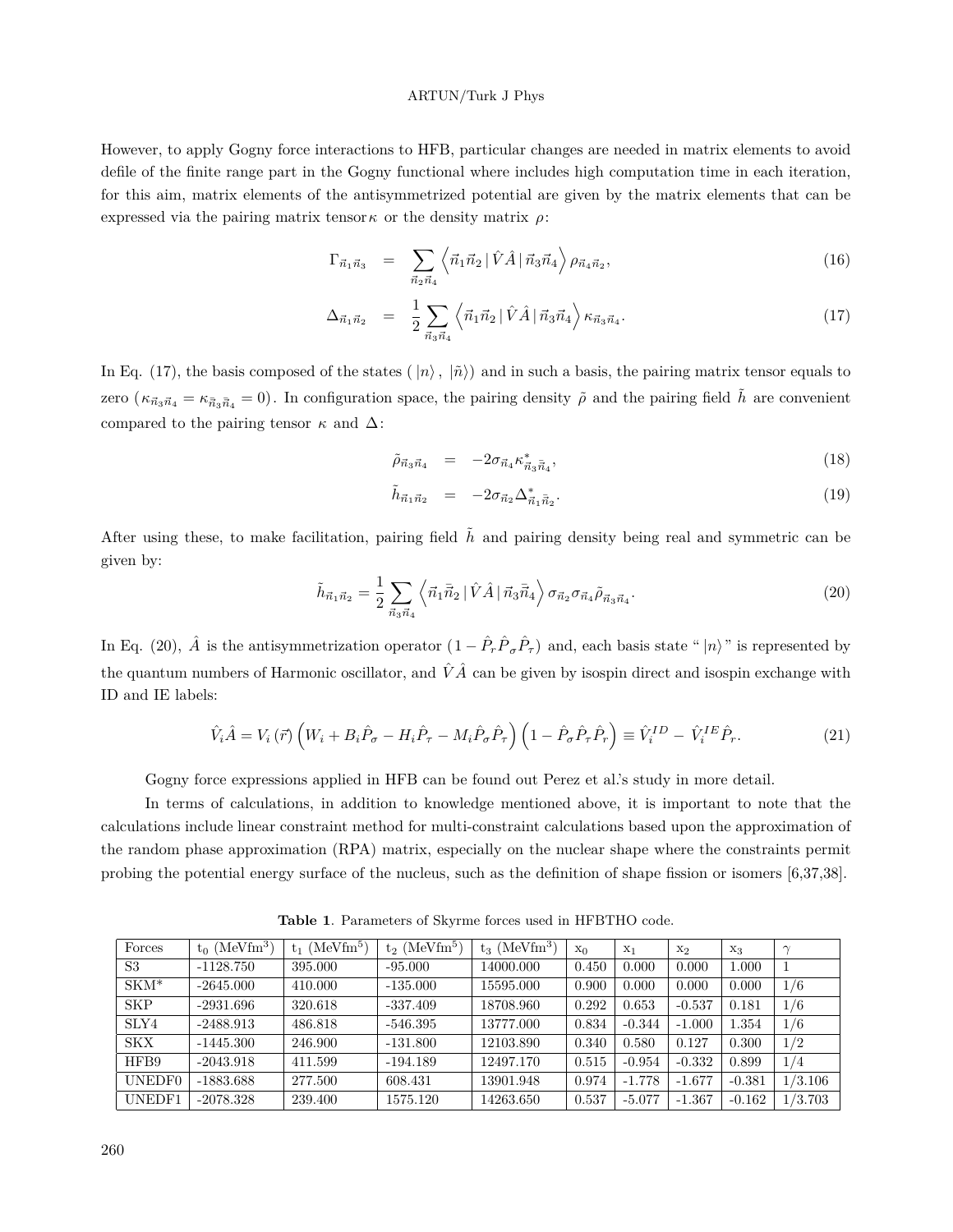However, to apply Gogny force interactions to HFB, particular changes are needed in matrix elements to avoid defile of the finite range part in the Gogny functional where includes high computation time in each iteration, for this aim, matrix elements of the antisymmetrized potential are given by the matrix elements that can be expressed via the pairing matrix tensor<sub> $\kappa$ </sub> or the density matrix  $\rho$ :

$$
\Gamma_{\vec{n}_1\vec{n}_3} = \sum_{\vec{n}_2\vec{n}_4} \left\langle \vec{n}_1\vec{n}_2 \, | \, \hat{V}\hat{A} \, | \, \vec{n}_3\vec{n}_4 \right\rangle \rho_{\vec{n}_4\vec{n}_2},\tag{16}
$$

$$
\Delta_{\vec{n}_1 \vec{n}_2} = \frac{1}{2} \sum_{\vec{n}_3 \vec{n}_4} \left\langle \vec{n}_1 \vec{n}_2 \, | \, \hat{V} \hat{A} \, | \, \vec{n}_3 \vec{n}_4 \right\rangle \kappa_{\vec{n}_3 \vec{n}_4}.\tag{17}
$$

In Eq. (17), the basis composed of the states ( $|n\rangle$ ,  $|\tilde{n}\rangle$ ) and in such a basis, the pairing matrix tensor equals to zero ( $\kappa_{\vec{n}_3\vec{n}_4} = \kappa_{\vec{n}_3\vec{n}_4} = 0$ ). In configuration space, the pairing density  $\tilde{\rho}$  and the pairing field  $\tilde{h}$  are convenient compared to the pairing tensor *κ* and ∆:

$$
\tilde{\rho}_{\vec{n}_3\vec{n}_4} = -2\sigma_{\vec{n}_4} \kappa_{\vec{n}_3\vec{n}_4}^*,\tag{18}
$$

$$
\tilde{h}_{\vec{n}_1\vec{n}_2} = -2\sigma_{\vec{n}_2}\Delta_{\vec{n}_1\bar{\vec{n}}_2}^*.
$$
\n(19)

After using these, to make facilitation, pairing field  $\tilde{h}$  and pairing density being real and symmetric can be given by:

$$
\tilde{h}_{\vec{n}_1\vec{n}_2} = \frac{1}{2} \sum_{\vec{n}_3\vec{n}_4} \left\langle \vec{n}_1 \vec{\bar{n}}_2 \, | \, \hat{V} \hat{A} \, | \, \vec{n}_3 \vec{\bar{n}}_4 \right\rangle \sigma_{\vec{n}_2} \sigma_{\vec{n}_4} \tilde{\rho}_{\vec{n}_3 \vec{n}_4}.
$$
\n(20)

In Eq. (20),  $\hat{A}$  is the antisymmetrization operator  $(1 - \hat{P}_r \hat{P}_\sigma \hat{P}_\tau)$  and, each basis state " $|n\rangle$ " is represented by the quantum numbers of Harmonic oscillator, and  $\hat{V}\hat{A}$  can be given by isospin direct and isospin exchange with ID and IE labels:

$$
\hat{V}_i \hat{A} = V_i \left( \vec{r} \right) \left( W_i + B_i \hat{P}_\sigma - H_i \hat{P}_\tau - M_i \hat{P}_\sigma \hat{P}_\tau \right) \left( 1 - \hat{P}_\sigma \hat{P}_\tau \hat{P}_r \right) \equiv \hat{V}_i^{ID} - \hat{V}_i^{IE} \hat{P}_r. \tag{21}
$$

Gogny force expressions applied in HFB can be found out Perez et al.'s study in more detail.

In terms of calculations, in addition to knowledge mentioned above, it is important to note that the calculations include linear constraint method for multi-constraint calculations based upon the approximation of the random phase approximation (RPA) matrix, especially on the nuclear shape where the constraints permit probing the potential energy surface of the nucleus, such as the definition of shape fission or isomers [6,37,38].

| Forces             | $(\text{MeVfm}^3)$<br>$t_0$ ( | (Mevfm <sup>5</sup> )<br>$t_1$ | $t_2$ (MeVfm <sup>5</sup> ) | $t_3$ (MeVfm <sup>3</sup> ) | $X_0$ | $X_1$    | $x_2$    | $X_3$    |         |
|--------------------|-------------------------------|--------------------------------|-----------------------------|-----------------------------|-------|----------|----------|----------|---------|
| S <sub>3</sub>     | $-1128.750$                   | 395.000                        | $-95.000$                   | 14000.000                   | 0.450 | 0.000    | 0.000    | 1.000    |         |
| $SKM*$             | $-2645.000$                   | 410.000                        | $-135.000$                  | 15595.000                   | 0.900 | 0.000    | 0.000    | 0.000    | 1/6     |
| <b>SKP</b>         | $-2931.696$                   | 320.618                        | $-337.409$                  | 18708.960                   | 0.292 | 0.653    | $-0.537$ | 0.181    | 1/6     |
| SLY4               | $-2488.913$                   | 486.818                        | -546.395                    | 13777.000                   | 0.834 | $-0.344$ | $-1.000$ | 1.354    | 1/6     |
| <b>SKX</b>         | $-1445.300$                   | 246.900                        | $-131.800$                  | 12103.890                   | 0.340 | 0.580    | 0.127    | 0.300    | 1/2     |
| HFB9               | $-2043.918$                   | 411.599                        | $-194.189$                  | 12497.170                   | 0.515 | $-0.954$ | $-0.332$ | 0.899    | 1/4     |
| UNEDF <sub>0</sub> | $-1883.688$                   | 277.500                        | 608.431                     | 13901.948                   | 0.974 | $-1.778$ | $-1.677$ | $-0.381$ | 1/3.106 |
| UNEDF1             | $-2078.328$                   | 239.400                        | 1575.120                    | 14263.650                   | 0.537 | $-5.077$ | $-1.367$ | $-0.162$ | 1/3.703 |

**Table 1**. Parameters of Skyrme forces used in HFBTHO code.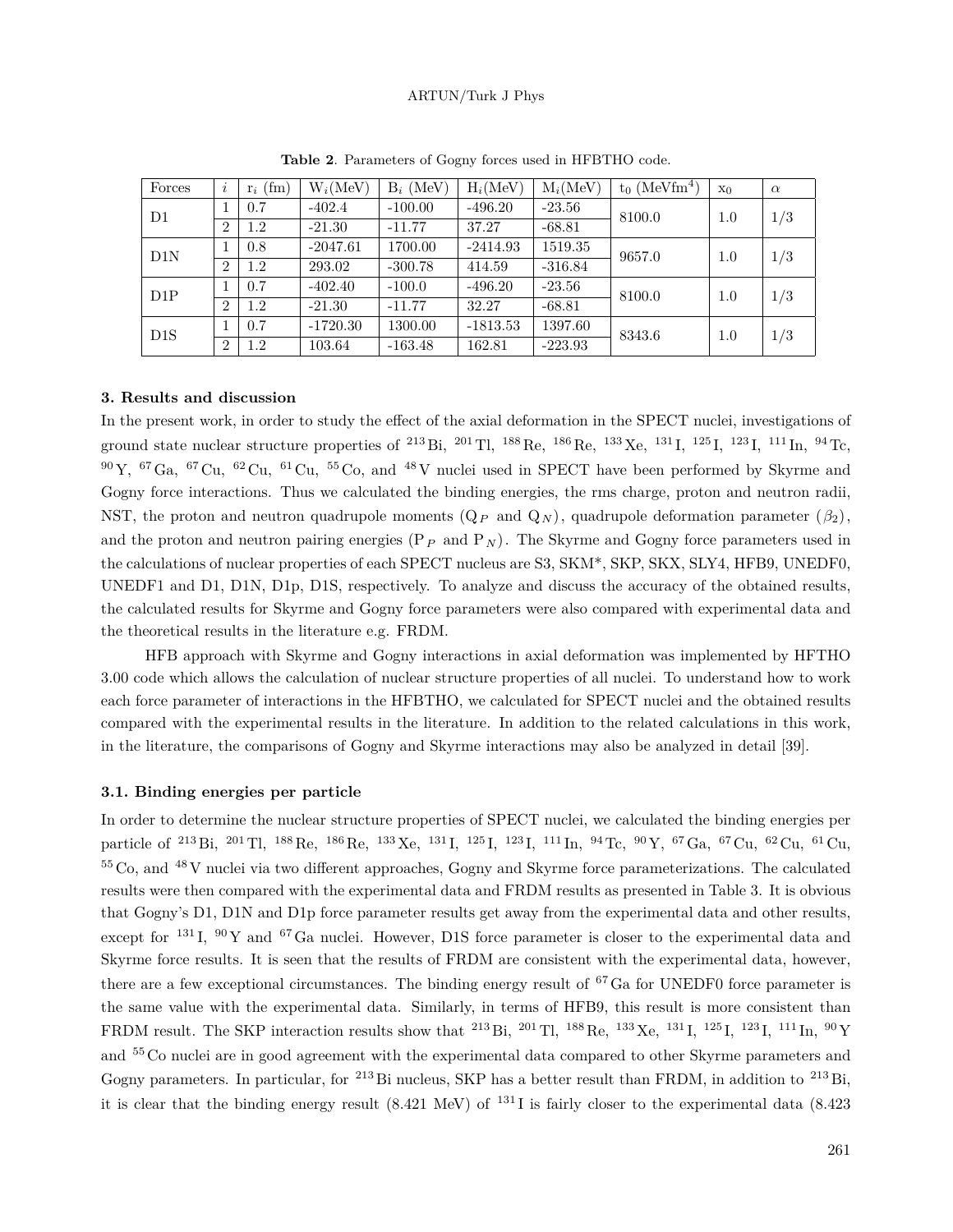| Forces         | $\imath$       | $r_i$ (fm) | $W_i(MeV)$ | $B_i$ (MeV) | $H_i(MeV)$ | $M_i(MeV)$ | $t_0$ (MeVfm <sup>4</sup> ) | X <sub>0</sub> | $\alpha$ |
|----------------|----------------|------------|------------|-------------|------------|------------|-----------------------------|----------------|----------|
| D <sub>1</sub> |                | 0.7        | $-402.4$   | $-100.00$   | $-496.20$  | $-23.56$   | 8100.0                      | 1.0            | 1/3      |
|                | $\overline{2}$ | 1.2        | $-21.30$   | $-11.77$    | 37.27      | $-68.81$   |                             |                |          |
| D1N            |                | 0.8        | $-2047.61$ | 1700.00     | $-2414.93$ | 1519.35    | 9657.0                      | 1.0            | 1/3      |
|                | 2              | 1.2        | 293.02     | $-300.78$   | 414.59     | $-316.84$  |                             |                |          |
| D1P            |                | 0.7        | $-402.40$  | $-100.0$    | $-496.20$  | $-23.56$   | 8100.0                      | 1.0            | 1/3      |
|                | $\overline{2}$ | 1.2        | $-21.30$   | $-11.77$    | 32.27      | $-68.81$   |                             |                |          |
| D1S            |                | 0.7        | $-1720.30$ | 1300.00     | $-1813.53$ | 1397.60    | 8343.6                      | 1.0            | 1/3      |
|                | $\overline{2}$ | 1.2        | 103.64     | $-163.48$   | 162.81     | $-223.93$  |                             |                |          |

**Table 2**. Parameters of Gogny forces used in HFBTHO code.

## **3. Results and discussion**

In the present work, in order to study the effect of the axial deformation in the SPECT nuclei, investigations of ground state nuclear structure properties of <sup>213</sup> Bi, <sup>201</sup> Tl, <sup>188</sup> Re, <sup>186</sup> Re, <sup>133</sup> Xe, <sup>131</sup> I, <sup>125</sup> I, <sup>123</sup> I, <sup>111</sup> In, <sup>94</sup> Tc,  $90\,\text{Y}$ ,  $67\,\text{Ga}$ ,  $67\,\text{Cu}$ ,  $62\,\text{Cu}$ ,  $61\,\text{Cu}$ ,  $55\,\text{Co}$ , and  $48\,\text{V}$  nuclei used in SPECT have been performed by Skyrme and Gogny force interactions. Thus we calculated the binding energies, the rms charge, proton and neutron radii, NST, the proton and neutron quadrupole moments  $(Q_P \text{ and } Q_N)$ , quadrupole deformation parameter  $(\beta_2)$ , and the proton and neutron pairing energies  $(P_P \text{ and } P_N)$ . The Skyrme and Gogny force parameters used in the calculations of nuclear properties of each SPECT nucleus are S3, SKM\*, SKP, SKX, SLY4, HFB9, UNEDF0, UNEDF1 and D1, D1N, D1p, D1S, respectively. To analyze and discuss the accuracy of the obtained results, the calculated results for Skyrme and Gogny force parameters were also compared with experimental data and the theoretical results in the literature e.g. FRDM.

HFB approach with Skyrme and Gogny interactions in axial deformation was implemented by HFTHO 3.00 code which allows the calculation of nuclear structure properties of all nuclei. To understand how to work each force parameter of interactions in the HFBTHO, we calculated for SPECT nuclei and the obtained results compared with the experimental results in the literature. In addition to the related calculations in this work, in the literature, the comparisons of Gogny and Skyrme interactions may also be analyzed in detail [39].

### **3.1. Binding energies per particle**

In order to determine the nuclear structure properties of SPECT nuclei, we calculated the binding energies per particle of <sup>213</sup> Bi, <sup>201</sup> Tl, <sup>188</sup> Re, <sup>186</sup> Re, <sup>133</sup> Xe, <sup>131</sup> I, <sup>125</sup> I, <sup>123</sup> I, <sup>111</sup> In, <sup>94</sup> Tc, <sup>90</sup> Y, <sup>67</sup>Ga, <sup>67</sup> Cu, <sup>62</sup> Cu, <sup>61</sup> Cu, <sup>55</sup> Co, and <sup>48</sup> V nuclei via two different approaches, Gogny and Skyrme force parameterizations. The calculated results were then compared with the experimental data and FRDM results as presented in Table 3. It is obvious that Gogny's D1, D1N and D1p force parameter results get away from the experimental data and other results, except for  $131$  I,  $90$  Y and  $67$  Ga nuclei. However, D1S force parameter is closer to the experimental data and Skyrme force results. It is seen that the results of FRDM are consistent with the experimental data, however, there are a few exceptional circumstances. The binding energy result of <sup>67</sup>Ga for UNEDF0 force parameter is the same value with the experimental data. Similarly, in terms of HFB9, this result is more consistent than FRDM result. The SKP interaction results show that <sup>213</sup> Bi, <sup>201</sup> Tl, <sup>188</sup> Re, <sup>133</sup> Xe, <sup>131</sup> I, <sup>125</sup> I, <sup>123</sup> I, <sup>111</sup> In, <sup>90</sup> Y and <sup>55</sup> Co nuclei are in good agreement with the experimental data compared to other Skyrme parameters and Gogny parameters. In particular, for <sup>213</sup> Bi nucleus, SKP has a better result than FRDM, in addition to <sup>213</sup> Bi, it is clear that the binding energy result  $(8.421 \text{ MeV})$  of  $^{131}$  I is fairly closer to the experimental data  $(8.423$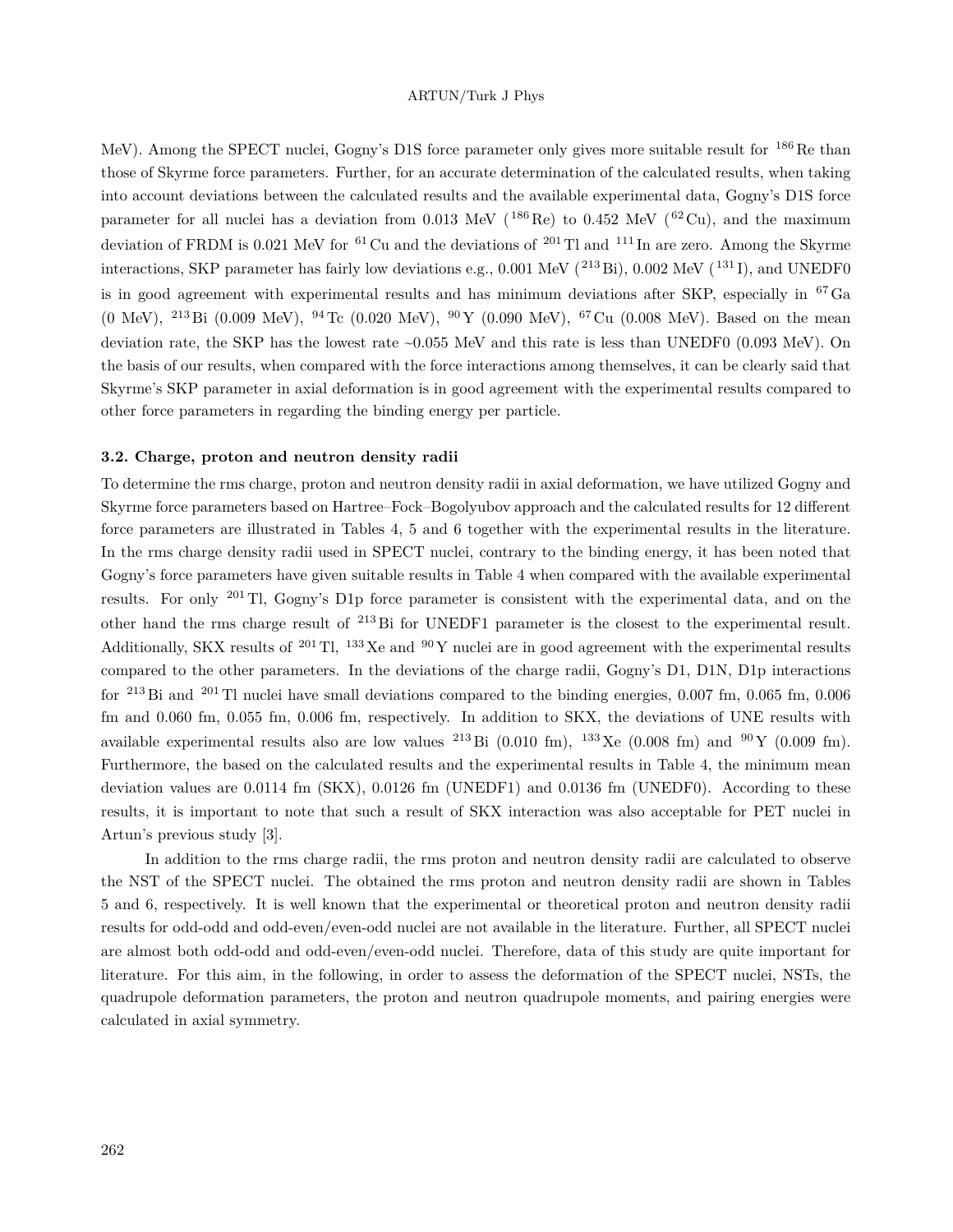MeV). Among the SPECT nuclei, Gogny's D1S force parameter only gives more suitable result for <sup>186</sup>Re than those of Skyrme force parameters. Further, for an accurate determination of the calculated results, when taking into account deviations between the calculated results and the available experimental data, Gogny's D1S force parameter for all nuclei has a deviation from 0.013 MeV ( $^{186}$ Re) to 0.452 MeV ( $^{62}$ Cu), and the maximum deviation of FRDM is 0.021 MeV for <sup>61</sup> Cu and the deviations of <sup>201</sup> Tl and <sup>111</sup> In are zero. Among the Skyrme interactions, SKP parameter has fairly low deviations e.g.,  $0.001$  MeV ( $^{213}$ Bi),  $0.002$  MeV ( $^{131}$ I), and UNEDF0 is in good agreement with experimental results and has minimum deviations after SKP, especially in  ${}^{67}Ga$ (0 MeV), <sup>213</sup> Bi (0.009 MeV), <sup>94</sup> Tc (0.020 MeV), <sup>90</sup> Y (0.090 MeV), <sup>67</sup> Cu (0.008 MeV). Based on the mean deviation rate, the SKP has the lowest rate ~0.055 MeV and this rate is less than UNEDF0 (0.093 MeV). On the basis of our results, when compared with the force interactions among themselves, it can be clearly said that Skyrme's SKP parameter in axial deformation is in good agreement with the experimental results compared to other force parameters in regarding the binding energy per particle.

## **3.2. Charge, proton and neutron density radii**

To determine the rms charge, proton and neutron density radii in axial deformation, we have utilized Gogny and Skyrme force parameters based on Hartree–Fock–Bogolyubov approach and the calculated results for 12 different force parameters are illustrated in Tables 4, 5 and 6 together with the experimental results in the literature. In the rms charge density radii used in SPECT nuclei, contrary to the binding energy, it has been noted that Gogny's force parameters have given suitable results in Table 4 when compared with the available experimental results. For only <sup>201</sup> Tl, Gogny's D1p force parameter is consistent with the experimental data, and on the other hand the rms charge result of <sup>213</sup> Bi for UNEDF1 parameter is the closest to the experimental result. Additionally, SKX results of  $^{201}$  Tl,  $^{133}$  Xe and  $^{90}$ Y nuclei are in good agreement with the experimental results compared to the other parameters. In the deviations of the charge radii, Gogny's D1, D1N, D1p interactions for <sup>213</sup> Bi and <sup>201</sup> Tl nuclei have small deviations compared to the binding energies, 0.007 fm, 0.065 fm, 0.006 fm and 0.060 fm, 0.055 fm, 0.006 fm, respectively. In addition to SKX, the deviations of UNE results with available experimental results also are low values <sup>213</sup> Bi (0.010 fm), <sup>133</sup> Xe (0.008 fm) and <sup>90</sup> Y (0.009 fm). Furthermore, the based on the calculated results and the experimental results in Table 4, the minimum mean deviation values are 0.0114 fm (SKX), 0.0126 fm (UNEDF1) and 0.0136 fm (UNEDF0). According to these results, it is important to note that such a result of SKX interaction was also acceptable for PET nuclei in Artun's previous study [3].

In addition to the rms charge radii, the rms proton and neutron density radii are calculated to observe the NST of the SPECT nuclei. The obtained the rms proton and neutron density radii are shown in Tables 5 and 6, respectively. It is well known that the experimental or theoretical proton and neutron density radii results for odd-odd and odd-even/even-odd nuclei are not available in the literature. Further, all SPECT nuclei are almost both odd-odd and odd-even/even-odd nuclei. Therefore, data of this study are quite important for literature. For this aim, in the following, in order to assess the deformation of the SPECT nuclei, NSTs, the quadrupole deformation parameters, the proton and neutron quadrupole moments, and pairing energies were calculated in axial symmetry.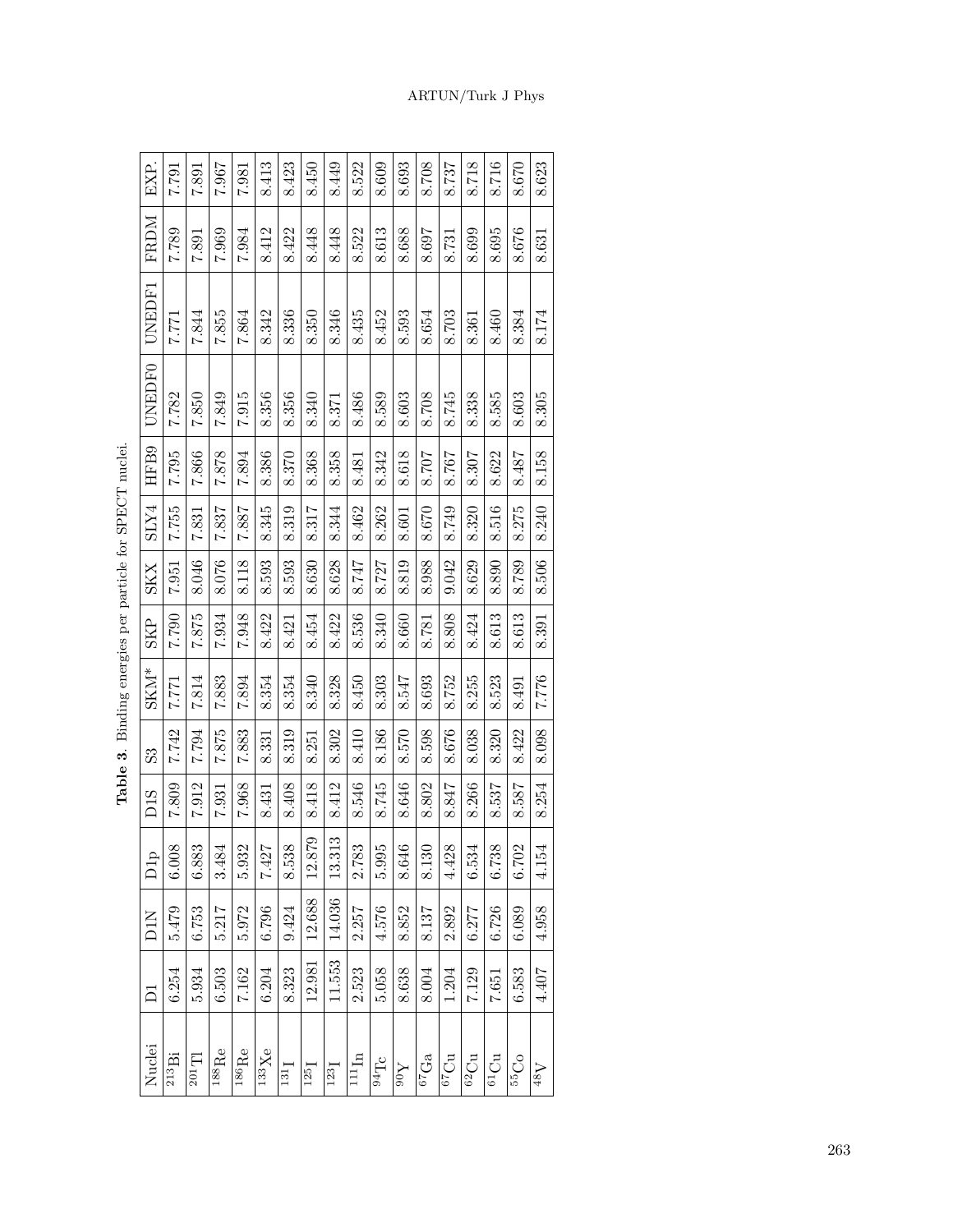| EXP.                                   | L62.2               | 1881     | 736.7                     | <b>7.981</b>                   | 8.413                        | 8.423                  | 8.450  | 8.449              | 8.522             | 8.609      | 8.693                | 8.708              | 8.737           | 8.718           | 8.716                 | 8.670                                     | 8.623                |  |
|----------------------------------------|---------------------|----------|---------------------------|--------------------------------|------------------------------|------------------------|--------|--------------------|-------------------|------------|----------------------|--------------------|-----------------|-----------------|-----------------------|-------------------------------------------|----------------------|--|
| <b>NGRLA</b>                           | 7.789               | 7.891    | 7.969                     | 7.984                          | 8.412                        | 8.422                  | 8.448  | 8.448              | 8.522             | 8.613      | 8.688                | 8.697              | 8.731           | 8.699           | 8.695                 | 8.676                                     | 8.631                |  |
| UNEDF1                                 | 7.771               | 7.844    | 7.855                     | 7.864                          | 8.342                        | 8.336                  | 8.350  | 8.346              | 8.435             | 8.452      | 8.593                | 8.654              | 8.703           | 8.361           | 8.460                 | 8.384                                     | 8.174                |  |
| UNEDF0                                 | 7.782               | 7.850    | 7.849                     | 7.915                          | .356<br>$\infty$             | 8.356                  | 8.340  | 8.371              | 8.486             | 8.589      | 8.603                | 8.708              | 8.745           | 8.338           | 8.585                 | 8.603                                     | 8.305                |  |
| HFB9                                   | 7.795               | 7.866    | 7.878                     | 7.894                          | 8.386                        | 8.370                  | 8.368  | 8.358              | 8.481             | 8.342      | 8.618                | 8.707              | 8.767           | 8.307           | 8.622                 | 8.487                                     | 8.158                |  |
| SLY4                                   | 7.755               | 7.831    | 7.837                     | 7.887                          | 8.345                        | 8.319                  | 8.317  | 8.344              | 8.462             | 8.262      | 8.601                | 8.670              | 8.749           | 8.320           | 8.516                 | 8.275                                     | 8.240                |  |
| <b>SKX</b>                             | 7.951               | 8.046    | 8.076                     | 8.118                          | 8.593                        | 8.593                  | 8.630  | 8.628              | 8.747             | 8.727      | 8.819                | 8.988              | 9.042           | 8.629           | 8.890                 | 8.789                                     | 8.506                |  |
| <b>SKP</b>                             | 7.790               | 7.875    | 7.934                     | 7.948                          | 8.422                        | 8.421                  | 8.454  | 8.422              | 8.536             | 8.340      | 8.660                | 8.781              | 8.808           | 8.424           | 8.613                 | 8.613                                     | 8.391                |  |
| $\ensuremath{\mathrm{SKM^{*}}}\xspace$ | 1.771               | 7.814    | 7.883                     | 7.894                          | 8.354                        | 8.354                  | 8.340  | 8.328              | 8.450             | 8.303      | 8.547                | 8.693              | 8.752           | 8.255           | 8.523                 | 8.491                                     | 7.776                |  |
| 33                                     | 7.742               | 1.794    | 7.875                     | 7.883                          | 8.331                        | 8.319                  | 8.251  | 8.302              | 8.410             | 8.186      | 8.570                | 8.598              | 8.676           | 8.038           | 8.320                 | 8.422                                     | 8.098                |  |
| D <sub>1</sub> S                       | 7.809               | 7.912    | 7.931                     | 7.968                          | 8.431                        | 8.408                  | 8.418  | 8.412              | 8.546             | 8.745      | 8.646                | 8.802              | 8.847           | 8.266           | 8.537                 | 8.587                                     | 8.254                |  |
| $\overline{C}$<br>$\bar{\Xi}$          | $\frac{8}{2}$<br>ō. | ಜ<br>88  | 3.484                     | 5.932                          | 7.427                        | $\overline{38}$<br>8.5 | 12.879 | 13.313             | 2.783             | рÓ<br>5.99 | 8.646                | 8.130              | 4.428           | 6.534           | $\frac{8}{3}$<br>6.73 | $\tilde{\mathcal{L}}$<br>$\overline{6.7}$ | 4.154                |  |
| DIN                                    | 5.479               | 6.753    | 5.217                     | 5.972                          | 6.796                        | 9.424                  | 12.688 | 14.036             | 2.257             | 4.576      | 8.852                | 8.137              | 2.892           | 6.277           | 6.726                 | 6.089                                     | 4.958                |  |
| $\overline{\square}$                   | 6.254               | 5.934    | 6.503                     | 7.162                          | 6.204                        | 8.323                  | 12.981 | 11.553             | 2.523             | 5.058      | 8.638                | 8.004              | 1.204           | 7.129           | 7.651                 | 6.583                                     | 4.407                |  |
| Nuclei                                 | $\rm ^{213}Bi$      | $201$ TI | $\overline{\rm ^{188}Re}$ | $\overline{{}^{186}\text{Re}}$ | $\overline{^{133}\text{Xe}}$ | 131                    | 125    | $123$ <sup>T</sup> | 111 <sub>In</sub> | $94$ Tc    | $\bar{\lambda}_{06}$ | $^{67}\mathrm{Ga}$ | $_{67}{\rm Cu}$ | $^{62}{\rm Cu}$ | $^{61}\mathrm{Cu}$    | 55C <sub>O</sub>                          | $\Lambda_{8\bar{b}}$ |  |

Table 3. Binding energies per particle for SPECT nuclei. **Table 3**. Binding energies per particle for SPECT nuclei.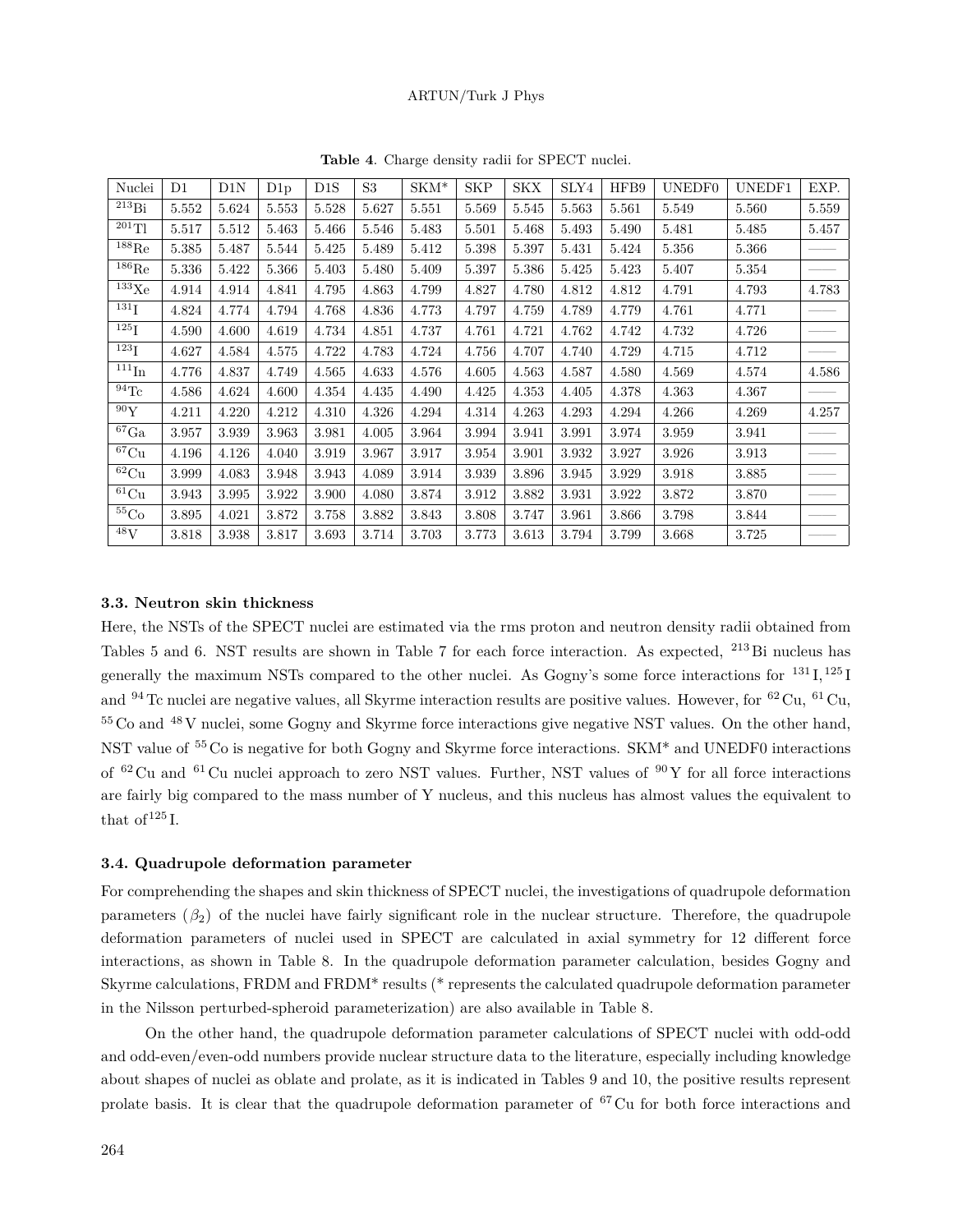| Nuclei                | D1    | D1N   | D1p   | D1S   | S <sub>3</sub> | $SKM*$ | <b>SKP</b> | <b>SKX</b> | SLY4  | HFB9  | UNEDF0 | UNEDF1 | EXP.  |
|-----------------------|-------|-------|-------|-------|----------------|--------|------------|------------|-------|-------|--------|--------|-------|
| $^{213}Bi$            | 5.552 | 5.624 | 5.553 | 5.528 | 5.627          | 5.551  | 5.569      | 5.545      | 5.563 | 5.561 | 5.549  | 5.560  | 5.559 |
| $^{201}$ Tl           | 5.517 | 5.512 | 5.463 | 5.466 | 5.546          | 5.483  | 5.501      | 5.468      | 5.493 | 5.490 | 5.481  | 5.485  | 5.457 |
| $^{188}$ Re           | 5.385 | 5.487 | 5.544 | 5.425 | 5.489          | 5.412  | 5.398      | 5.397      | 5.431 | 5.424 | 5.356  | 5.366  |       |
| $^{186}$ Re           | 5.336 | 5.422 | 5.366 | 5.403 | 5.480          | 5.409  | 5.397      | 5.386      | 5.425 | 5.423 | 5.407  | 5.354  |       |
| $^{133}\text{Xe}$     | 4.914 | 4.914 | 4.841 | 4.795 | 4.863          | 4.799  | 4.827      | 4.780      | 4.812 | 4.812 | 4.791  | 4.793  | 4.783 |
| $^{131}\mathrm{I}$    | 4.824 | 4.774 | 4.794 | 4.768 | 4.836          | 4.773  | 4.797      | 4.759      | 4.789 | 4.779 | 4.761  | 4.771  |       |
| $^{125}\mathrm{I}$    | 4.590 | 4.600 | 4.619 | 4.734 | 4.851          | 4.737  | 4.761      | 4.721      | 4.762 | 4.742 | 4.732  | 4.726  |       |
| $^{123}\mathrm{I}$    | 4.627 | 4.584 | 4.575 | 4.722 | 4.783          | 4.724  | 4.756      | 4.707      | 4.740 | 4.729 | 4.715  | 4.712  |       |
| $^{111}\mathrm{In}$   | 4.776 | 4.837 | 4.749 | 4.565 | 4.633          | 4.576  | 4.605      | 4.563      | 4.587 | 4.580 | 4.569  | 4.574  | 4.586 |
| $^{94}\mathrm{Tc}$    | 4.586 | 4.624 | 4.600 | 4.354 | 4.435          | 4.490  | 4.425      | 4.353      | 4.405 | 4.378 | 4.363  | 4.367  |       |
| $^{90}\mathrm{Y}$     | 4.211 | 4.220 | 4.212 | 4.310 | 4.326          | 4.294  | 4.314      | 4.263      | 4.293 | 4.294 | 4.266  | 4.269  | 4.257 |
| $^{67}\mathrm{Ga}$    | 3.957 | 3.939 | 3.963 | 3.981 | 4.005          | 3.964  | 3.994      | 3.941      | 3.991 | 3.974 | 3.959  | 3.941  |       |
| ${}^{67}Cu$           | 4.196 | 4.126 | 4.040 | 3.919 | 3.967          | 3.917  | 3.954      | 3.901      | 3.932 | 3.927 | 3.926  | 3.913  |       |
| $\overline{^{62}}$ Cu | 3.999 | 4.083 | 3.948 | 3.943 | 4.089          | 3.914  | 3.939      | 3.896      | 3.945 | 3.929 | 3.918  | 3.885  |       |
| ${}^{61}Cu$           | 3.943 | 3.995 | 3.922 | 3.900 | 4.080          | 3.874  | 3.912      | 3.882      | 3.931 | 3.922 | 3.872  | 3.870  |       |
| $55$ Co               | 3.895 | 4.021 | 3.872 | 3.758 | 3.882          | 3.843  | 3.808      | 3.747      | 3.961 | 3.866 | 3.798  | 3.844  |       |
| $\overline{48}V$      | 3.818 | 3.938 | 3.817 | 3.693 | 3.714          | 3.703  | 3.773      | 3.613      | 3.794 | 3.799 | 3.668  | 3.725  |       |

**Table 4**. Charge density radii for SPECT nuclei.

### **3.3. Neutron skin thickness**

Here, the NSTs of the SPECT nuclei are estimated via the rms proton and neutron density radii obtained from Tables 5 and 6. NST results are shown in Table 7 for each force interaction. As expected, <sup>213</sup> Bi nucleus has generally the maximum NSTs compared to the other nuclei. As Gogny's some force interactions for  $^{131}$ I,  $^{125}$ I and  $94$  Tc nuclei are negative values, all Skyrme interaction results are positive values. However, for  $^{62}$  Cu,  $^{61}$  Cu, <sup>55</sup> Co and <sup>48</sup> V nuclei, some Gogny and Skyrme force interactions give negative NST values. On the other hand, NST value of <sup>55</sup> Co is negative for both Gogny and Skyrme force interactions. SKM\* and UNEDF0 interactions of  $^{62}$  Cu and  $^{61}$  Cu nuclei approach to zero NST values. Further, NST values of  $^{90}$ Y for all force interactions are fairly big compared to the mass number of Y nucleus, and this nucleus has almost values the equivalent to that of  $125$  I.

## **3.4. Quadrupole deformation parameter**

For comprehending the shapes and skin thickness of SPECT nuclei, the investigations of quadrupole deformation parameters  $(\beta_2)$  of the nuclei have fairly significant role in the nuclear structure. Therefore, the quadrupole deformation parameters of nuclei used in SPECT are calculated in axial symmetry for 12 different force interactions, as shown in Table 8. In the quadrupole deformation parameter calculation, besides Gogny and Skyrme calculations, FRDM and FRDM\* results (\* represents the calculated quadrupole deformation parameter in the Nilsson perturbed-spheroid parameterization) are also available in Table 8.

On the other hand, the quadrupole deformation parameter calculations of SPECT nuclei with odd-odd and odd-even/even-odd numbers provide nuclear structure data to the literature, especially including knowledge about shapes of nuclei as oblate and prolate, as it is indicated in Tables 9 and 10, the positive results represent prolate basis. It is clear that the quadrupole deformation parameter of <sup>67</sup> Cu for both force interactions and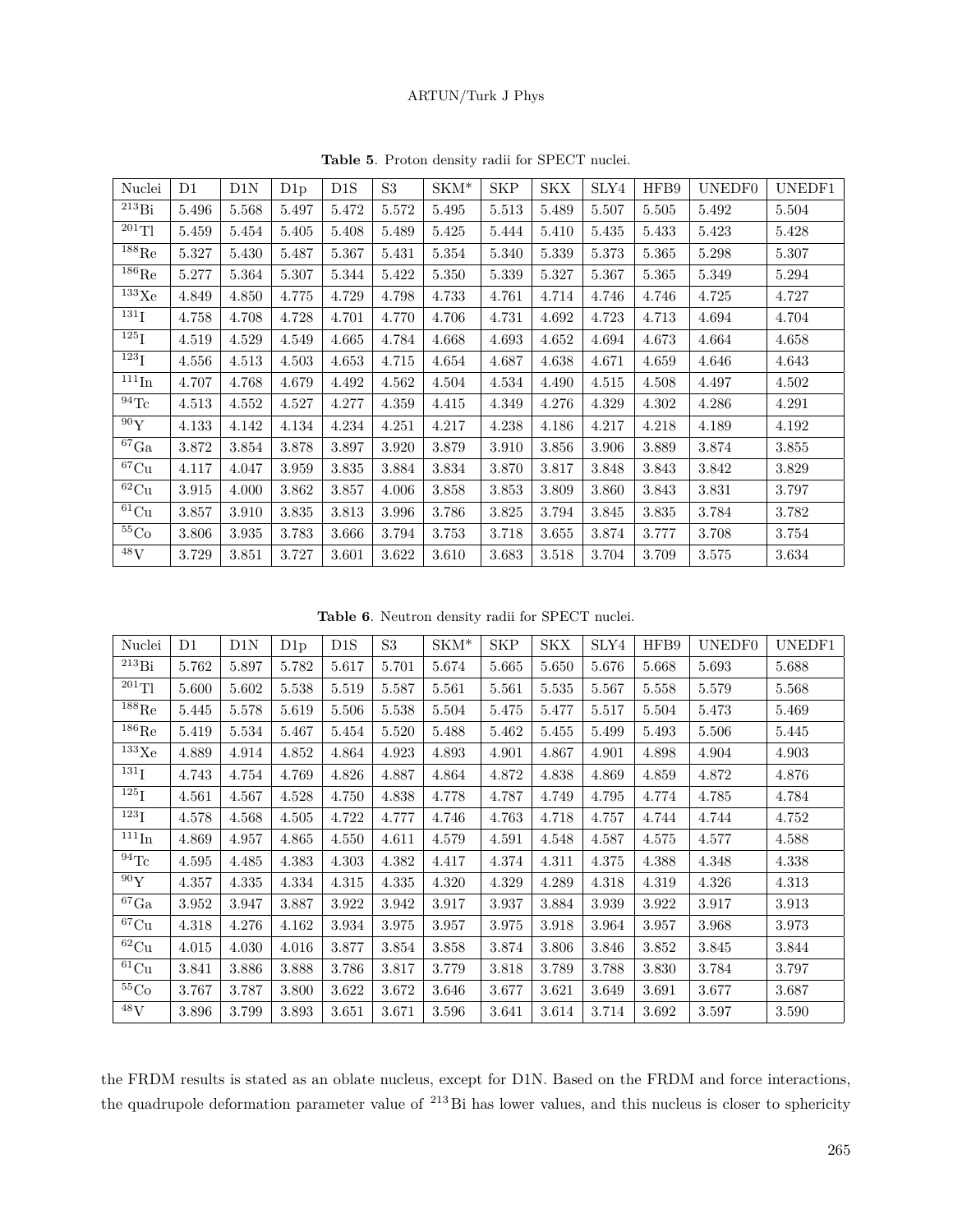| Nuclei               | D1        | D1N   | D1p   | D1S       | S <sub>3</sub> | ${\rm SKM}^*$ | <b>SKP</b> | SKX       | SLY4      | HFB9  | UNEDF0 | UNEDF1 |
|----------------------|-----------|-------|-------|-----------|----------------|---------------|------------|-----------|-----------|-------|--------|--------|
| $^{213}Bi$           | 5.496     | 5.568 | 5.497 | 5.472     | $5.572\,$      | 5.495         | $5.513\,$  | 5.489     | 5.507     | 5.505 | 5.492  | 5.504  |
| $^{201}\mathrm{Tl}$  | 5.459     | 5.454 | 5.405 | 5.408     | 5.489          | 5.425         | 5.444      | 5.410     | 5.435     | 5.433 | 5.423  | 5.428  |
| $^{188}\mathrm{Re}$  | $5.327\,$ | 5.430 | 5.487 | 5.367     | 5.431          | 5.354         | 5.340      | 5.339     | $5.373\,$ | 5.365 | 5.298  | 5.307  |
| $^{186}\mathrm{Re}$  | $5.277\,$ | 5.364 | 5.307 | 5.344     | 5.422          | 5.350         | 5.339      | $5.327\,$ | 5.367     | 5.365 | 5.349  | 5.294  |
| $^{133}\mathrm{Xe}$  | 4.849     | 4.850 | 4.775 | 4.729     | 4.798          | 4.733         | 4.761      | 4.714     | 4.746     | 4.746 | 4.725  | 4.727  |
| $^{131}$ I           | 4.758     | 4.708 | 4.728 | 4.701     | 4.770          | 4.706         | 4.731      | 4.692     | 4.723     | 4.713 | 4.694  | 4.704  |
| $^{125}$ I           | 4.519     | 4.529 | 4.549 | 4.665     | 4.784          | 4.668         | 4.693      | 4.652     | 4.694     | 4.673 | 4.664  | 4.658  |
| $^{123}$ I           | 4.556     | 4.513 | 4.503 | 4.653     | 4.715          | 4.654         | 4.687      | 4.638     | 4.671     | 4.659 | 4.646  | 4.643  |
| $111 \text{In}$      | 4.707     | 4.768 | 4.679 | 4.492     | 4.562          | 4.504         | 4.534      | 4.490     | 4.515     | 4.508 | 4.497  | 4.502  |
| $^{94}\mathrm{Tc}$   | 4.513     | 4.552 | 4.527 | 4.277     | 4.359          | 4.415         | 4.349      | 4.276     | 4.329     | 4.302 | 4.286  | 4.291  |
| 90Y                  | 4.133     | 4.142 | 4.134 | 4.234     | 4.251          | 4.217         | 4.238      | 4.186     | 4.217     | 4.218 | 4.189  | 4.192  |
| $^{67}\mathrm{Ga}$   | 3.872     | 3.854 | 3.878 | 3.897     | 3.920          | $3.879\,$     | 3.910      | 3.856     | 3.906     | 3.889 | 3.874  | 3.855  |
| $^{67}\mathrm{Cu}$   | 4.117     | 4.047 | 3.959 | $3.835\,$ | 3.884          | $3.834\,$     | 3.870      | 3.817     | 3.848     | 3.843 | 3.842  | 3.829  |
| ${}^{62}{\rm Cu}$    | 3.915     | 4.000 | 3.862 | 3.857     | 4.006          | 3.858         | 3.853      | 3.809     | 3.860     | 3.843 | 3.831  | 3.797  |
| $61 \text{Cu}$       | 3.857     | 3.910 | 3.835 | 3.813     | 3.996          | 3.786         | 3.825      | 3.794     | 3.845     | 3.835 | 3.784  | 3.782  |
| ${}^{55}\mathrm{Co}$ | 3.806     | 3.935 | 3.783 | 3.666     | 3.794          | 3.753         | 3.718      | 3.655     | 3.874     | 3.777 | 3.708  | 3.754  |
| $^{48}V$             | 3.729     | 3.851 | 3.727 | 3.601     | 3.622          | 3.610         | 3.683      | 3.518     | 3.704     | 3.709 | 3.575  | 3.634  |

**Table 5**. Proton density radii for SPECT nuclei.

**Table 6**. Neutron density radii for SPECT nuclei.

| Nuclei                       | D1    | D1N   | D1p   | D1S   | S <sub>3</sub> | $SKM^*$ | <b>SKP</b> | <b>SKX</b> | SLY4  | HFB9  | UNEDF0 | UNEDF1 |
|------------------------------|-------|-------|-------|-------|----------------|---------|------------|------------|-------|-------|--------|--------|
| $^{213}Bi$                   | 5.762 | 5.897 | 5.782 | 5.617 | 5.701          | 5.674   | 5.665      | 5.650      | 5.676 | 5.668 | 5.693  | 5.688  |
| $\overline{^{201}}$ Tl       | 5.600 | 5.602 | 5.538 | 5.519 | 5.587          | 5.561   | 5.561      | 5.535      | 5.567 | 5.558 | 5.579  | 5.568  |
| $\overline{^{188}}\text{Re}$ | 5.445 | 5.578 | 5.619 | 5.506 | 5.538          | 5.504   | 5.475      | 5.477      | 5.517 | 5.504 | 5.473  | 5.469  |
| $^{186}\mathrm{Re}$          | 5.419 | 5.534 | 5.467 | 5.454 | 5.520          | 5.488   | 5.462      | 5.455      | 5.499 | 5.493 | 5.506  | 5.445  |
| $^{133}\mathrm{Xe}$          | 4.889 | 4.914 | 4.852 | 4.864 | 4.923          | 4.893   | 4.901      | 4.867      | 4.901 | 4.898 | 4.904  | 4.903  |
| $^{131}$ I                   | 4.743 | 4.754 | 4.769 | 4.826 | 4.887          | 4.864   | 4.872      | 4.838      | 4.869 | 4.859 | 4.872  | 4.876  |
| $^{125}$ I                   | 4.561 | 4.567 | 4.528 | 4.750 | 4.838          | 4.778   | 4.787      | 4.749      | 4.795 | 4.774 | 4.785  | 4.784  |
| $^{123}I$                    | 4.578 | 4.568 | 4.505 | 4.722 | 4.777          | 4.746   | 4.763      | 4.718      | 4.757 | 4.744 | 4.744  | 4.752  |
| $111$ In                     | 4.869 | 4.957 | 4.865 | 4.550 | 4.611          | 4.579   | 4.591      | 4.548      | 4.587 | 4.575 | 4.577  | 4.588  |
| $^{94}\mathrm{Tc}$           | 4.595 | 4.485 | 4.383 | 4.303 | 4.382          | 4.417   | 4.374      | 4.311      | 4.375 | 4.388 | 4.348  | 4.338  |
| 90Y                          | 4.357 | 4.335 | 4.334 | 4.315 | 4.335          | 4.320   | 4.329      | 4.289      | 4.318 | 4.319 | 4.326  | 4.313  |
| $^{67}\mathrm{Ga}$           | 3.952 | 3.947 | 3.887 | 3.922 | 3.942          | 3.917   | 3.937      | 3.884      | 3.939 | 3.922 | 3.917  | 3.913  |
| ${}^{67}Cu$                  | 4.318 | 4.276 | 4.162 | 3.934 | 3.975          | 3.957   | 3.975      | 3.918      | 3.964 | 3.957 | 3.968  | 3.973  |
| $^{62}\mathrm{Cu}$           | 4.015 | 4.030 | 4.016 | 3.877 | 3.854          | 3.858   | 3.874      | 3.806      | 3.846 | 3.852 | 3.845  | 3.844  |
| ${}^{61}$ Cu                 | 3.841 | 3.886 | 3.888 | 3.786 | 3.817          | 3.779   | 3.818      | 3.789      | 3.788 | 3.830 | 3.784  | 3.797  |
| ${}^{55}\mathrm{Co}$         | 3.767 | 3.787 | 3.800 | 3.622 | 3.672          | 3.646   | 3.677      | 3.621      | 3.649 | 3.691 | 3.677  | 3.687  |
| $^{48}{\rm V}$               | 3.896 | 3.799 | 3.893 | 3.651 | 3.671          | 3.596   | 3.641      | 3.614      | 3.714 | 3.692 | 3.597  | 3.590  |

the FRDM results is stated as an oblate nucleus, except for D1N. Based on the FRDM and force interactions, the quadrupole deformation parameter value of <sup>213</sup> Bi has lower values, and this nucleus is closer to sphericity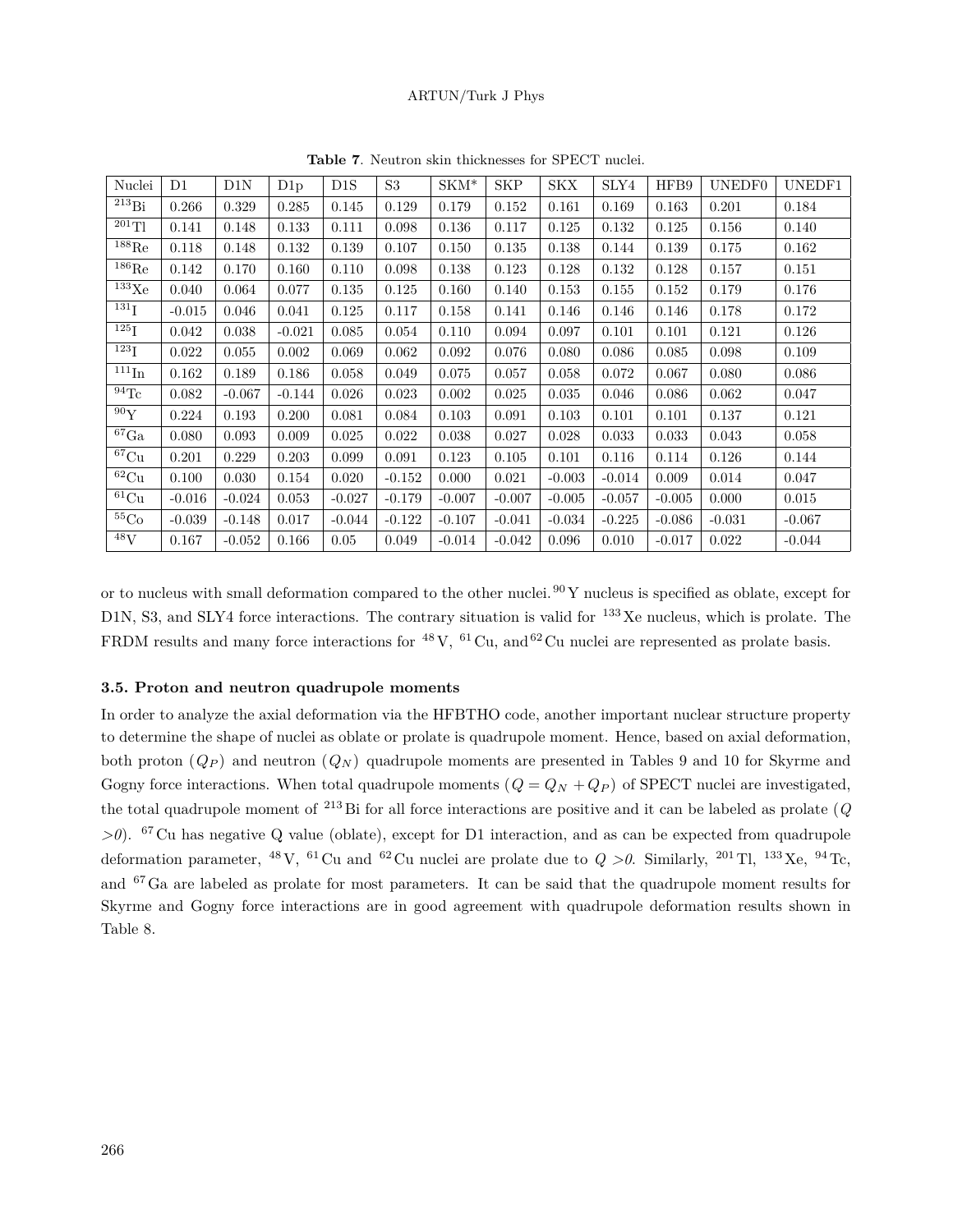| Nuclei               | $\rm D1$ | D1N      | D1p      | D <sub>1</sub> S | S <sub>3</sub> | $SKM^*$  | <b>SKP</b> | <b>SKX</b> | SLY4     | HFB9     | UNEDF0   | UNEDF1   |
|----------------------|----------|----------|----------|------------------|----------------|----------|------------|------------|----------|----------|----------|----------|
| $^{213}Bi$           | 0.266    | 0.329    | 0.285    | 0.145            | 0.129          | 0.179    | 0.152      | 0.161      | 0.169    | 0.163    | 0.201    | 0.184    |
| $^{201}$ Tl          | 0.141    | 0.148    | 0.133    | 0.111            | 0.098          | 0.136    | 0.117      | 0.125      | 0.132    | 0.125    | 0.156    | 0.140    |
| $^{188}\mathrm{Re}$  | 0.118    | 0.148    | 0.132    | 0.139            | 0.107          | 0.150    | 0.135      | 0.138      | 0.144    | 0.139    | 0.175    | 0.162    |
| $^{186}$ Re          | 0.142    | 0.170    | 0.160    | 0.110            | 0.098          | 0.138    | 0.123      | 0.128      | 0.132    | 0.128    | 0.157    | 0.151    |
| $133\text{Xe}$       | 0.040    | 0.064    | 0.077    | 0.135            | 0.125          | 0.160    | 0.140      | 0.153      | 0.155    | 0.152    | 0.179    | 0.176    |
| $^{131}$ I           | $-0.015$ | 0.046    | 0.041    | 0.125            | 0.117          | 0.158    | 0.141      | 0.146      | 0.146    | 0.146    | 0.178    | 0.172    |
| $^{125}\mathrm{I}$   | 0.042    | 0.038    | $-0.021$ | 0.085            | 0.054          | 0.110    | 0.094      | 0.097      | 0.101    | 0.101    | 0.121    | 0.126    |
| $^{123}\mathrm{I}$   | 0.022    | 0.055    | 0.002    | 0.069            | 0.062          | 0.092    | 0.076      | 0.080      | 0.086    | 0.085    | 0.098    | 0.109    |
| $\overline{1}11$ In  | 0.162    | 0.189    | 0.186    | 0.058            | 0.049          | 0.075    | 0.057      | 0.058      | 0.072    | 0.067    | 0.080    | 0.086    |
| $^{94}\mathrm{Tc}$   | 0.082    | $-0.067$ | $-0.144$ | 0.026            | 0.023          | 0.002    | 0.025      | 0.035      | 0.046    | 0.086    | 0.062    | 0.047    |
| $^{90}\mathrm{Y}$    | 0.224    | 0.193    | 0.200    | 0.081            | 0.084          | 0.103    | 0.091      | 0.103      | 0.101    | 0.101    | 0.137    | 0.121    |
| ${}^{67}\mathrm{Ga}$ | 0.080    | 0.093    | 0.009    | 0.025            | 0.022          | 0.038    | 0.027      | 0.028      | 0.033    | 0.033    | 0.043    | 0.058    |
| ${}^{67}{\rm Cu}$    | 0.201    | 0.229    | 0.203    | 0.099            | 0.091          | 0.123    | 0.105      | 0.101      | 0.116    | 0.114    | 0.126    | 0.144    |
| $\overline{62}$ Cu   | 0.100    | 0.030    | 0.154    | 0.020            | $-0.152$       | 0.000    | 0.021      | $-0.003$   | $-0.014$ | 0.009    | 0.014    | 0.047    |
| ${}^{61}$ Cu         | $-0.016$ | $-0.024$ | 0.053    | $-0.027$         | $-0.179$       | $-0.007$ | $-0.007$   | $-0.005$   | $-0.057$ | $-0.005$ | 0.000    | 0.015    |
| ${}^{55}\mathrm{Co}$ | $-0.039$ | $-0.148$ | 0.017    | $-0.044$         | $-0.122$       | $-0.107$ | $-0.041$   | $-0.034$   | $-0.225$ | $-0.086$ | $-0.031$ | $-0.067$ |
| $^{48}{\rm V}$       | 0.167    | $-0.052$ | 0.166    | 0.05             | 0.049          | $-0.014$ | $-0.042$   | 0.096      | 0.010    | $-0.017$ | 0.022    | $-0.044$ |

**Table 7**. Neutron skin thicknesses for SPECT nuclei.

or to nucleus with small deformation compared to the other nuclei.<sup>90</sup> Y nucleus is specified as oblate, except for D1N, S3, and SLY4 force interactions. The contrary situation is valid for <sup>133</sup>Xe nucleus, which is prolate. The FRDM results and many force interactions for  $^{48}$  V,  $^{61}$  Cu, and  $^{62}$  Cu nuclei are represented as prolate basis.

## **3.5. Proton and neutron quadrupole moments**

In order to analyze the axial deformation via the HFBTHO code, another important nuclear structure property to determine the shape of nuclei as oblate or prolate is quadrupole moment. Hence, based on axial deformation, both proton (*Q<sup>P</sup>* ) and neutron (*Q<sup>N</sup>* ) quadrupole moments are presented in Tables 9 and 10 for Skyrme and Gogny force interactions. When total quadrupole moments  $(Q = Q_N + Q_P)$  of SPECT nuclei are investigated, the total quadrupole moment of <sup>213</sup> Bi for all force interactions are positive and it can be labeled as prolate (*Q >0*). <sup>67</sup> Cu has negative Q value (oblate), except for D1 interaction, and as can be expected from quadrupole deformation parameter, <sup>48</sup> V, <sup>61</sup> Cu and <sup>62</sup> Cu nuclei are prolate due to  $Q > 0$ . Similarly, <sup>201</sup> Tl, <sup>133</sup> Xe, <sup>94</sup> Tc, and <sup>67</sup>Ga are labeled as prolate for most parameters. It can be said that the quadrupole moment results for Skyrme and Gogny force interactions are in good agreement with quadrupole deformation results shown in Table 8.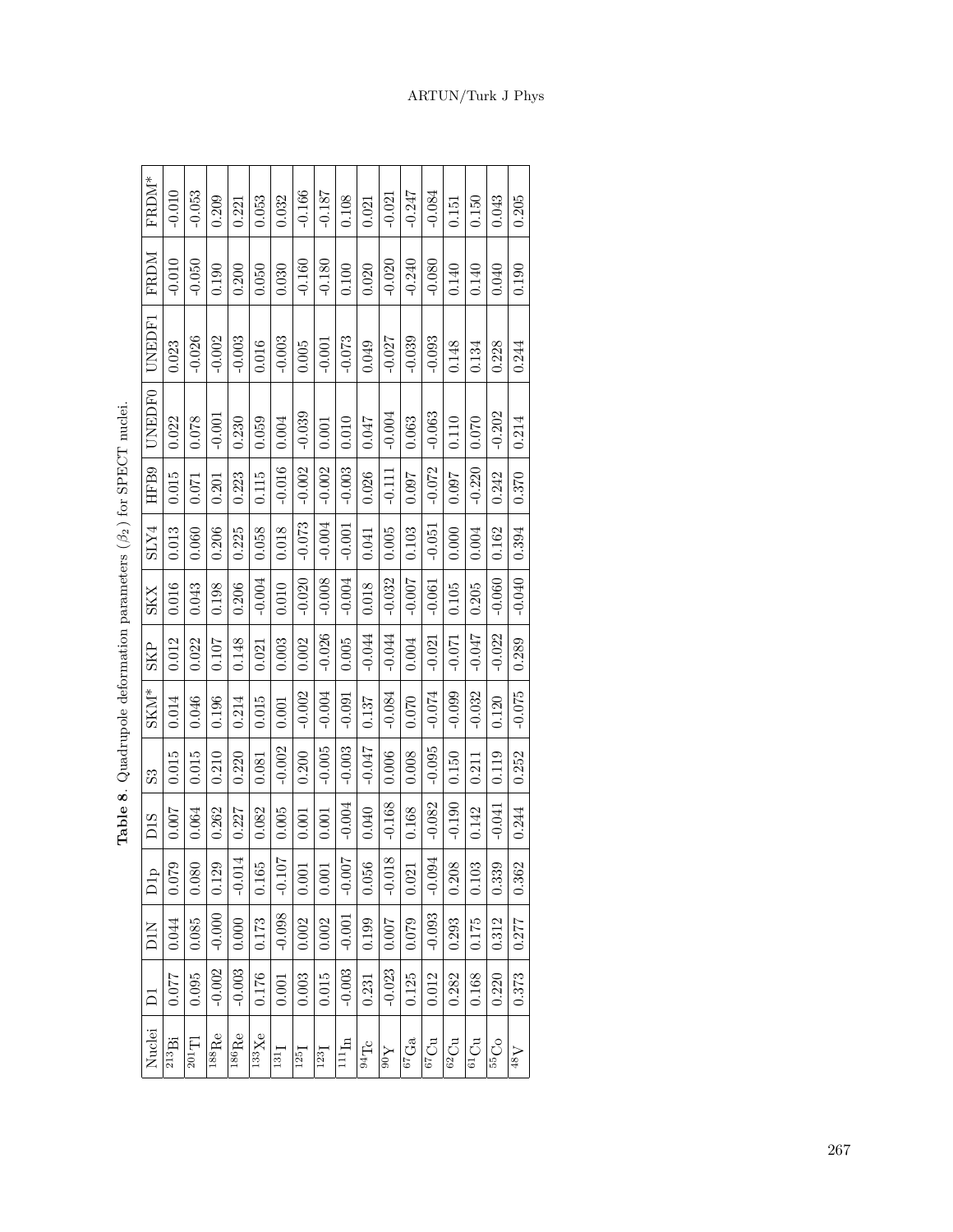| $FRDM*$                   | $-0.010$            | $-0.053$            | 0.209                     | 0.221                            | 0.053                        | 0.032    | $-0.166$           | $-0.187$           | 0.108                            | 0.021    | $-0.021$       | $-0.247$ | $-0.084$ | 0.151          | 0.150    | 0.043    | 0.205          |
|---------------------------|---------------------|---------------------|---------------------------|----------------------------------|------------------------------|----------|--------------------|--------------------|----------------------------------|----------|----------------|----------|----------|----------------|----------|----------|----------------|
| FRDM                      | $-0.010$            | $-0.050$            | 0.190                     | 0.200                            | 0.050                        | 0.030    | $-0.160$           | $-0.180$           | 0.100                            | 0.020    | $-0.020$       | $-0.240$ | $-0.080$ | 0.140          | 0.140    | 0.040    | 0.190          |
| UNEDF1                    | 0.023               | 0.026               | 0.002                     | 0.003                            | 0.016                        | 0.003    | 0.005              | $-0.001$           | $-0.073$                         | 0.049    | $-0.027$       | $-0.039$ | $-0.093$ | 0.148          | 0.134    | 0.228    | 0.244          |
| UNEDF0                    | 0.022               | 0.078               | $-0.001$                  | 0.230                            | 0.059                        | 0.004    | $-0.039$           | 0.001              | 0.010                            | 0.047    | $-0.004$       | 0.063    | $-0.063$ | 0.110          | 0.070    | $-0.202$ | 0.214          |
| HF B9                     | 0.015               | 0.071               | 0.201                     | 0.223                            | 0.115                        | $-0.016$ | $-0.002$           | $-0.002$           | $-0.003$                         | 0.026    | $-0.111$       | 0.097    | $-0.072$ | 0.097          | $-0.220$ | 0.242    | 0.370          |
| SLY4                      | 0.013               | 0.060               | 0.206                     | 0.225                            | 0.058                        | 0.018    | $-0.073$           | $-0.004$           | $-0.001$                         | 0.041    | 0.005          | 0.103    | $-0.051$ | 0.000          | 0.004    | 0.162    | 0.394          |
| <b>SKX</b>                | 0.016               | 0.043               | 0.198                     | 0.206                            | $-0.004$                     | 0.010    | $-0.020$           | $-0.008$           | $-0.004$                         | 0.018    | $-0.032$       | $-0.007$ | $-0.061$ | 0.105          | 0.205    | $-0.060$ | $-0.040$       |
| <b>SKP</b>                | 0.012               | 0.022               | 0.107                     | 0.148                            | 0.021                        | 0.003    | 0.002              | $-0.026$           | 0.005                            | $-0.044$ | $-0.044$       | 0.004    | $-0.021$ | $-0.071$       | $-0.047$ | $-0.022$ | 0.289          |
| $SKM^*$                   | 0.014               | 0.046               | 0.196                     | 0.214                            | 0.015                        | 0.001    | $-0.002$           | $-0.004$           | $-0.091$                         | 0.137    | $-0.084$       | 0.070    | $-0.074$ | $-0.099$       | $-0.032$ | 0.120    | $-0.075$       |
| $\overline{\mathrm{s}}$ 3 | 0.015               | 0.015               | 0.210                     | 0.220                            | 0.081                        | $-0.002$ | 0.200              | $-0.005$           | $-0.003$                         | $-0.047$ | 0.006          | 0.008    | $-0.095$ | 0.150          | 0.211    | 0.119    | 0.252          |
| D <sub>1</sub> S          | 0.007               | 0.064               | 0.262                     | 0.227                            | 0.082                        | 0.005    | 0.001              | 0.001              | $-0.004$                         | 0.040    | $-0.168$       | 0.168    | $-0.082$ | 0.190          | 0.142    | 0.041    | 0.244          |
| D <sub>1p</sub>           | 0.079               | 0.080               | 0.129                     | $-0.014$                         | 0.165                        | $-0.10$  | 0.001              | 0.001              | $-0.00^{\circ}$                  | 0.056    | $-0.018$       | 0.021    | $-0.09$  | 0.208          | 0.103    | 0.339    | 0.362          |
| <b>D1N</b>                | 0.044               | 0.085               | $-0.000$                  | 0.000                            | 0.173                        | $-0.098$ | 0.002              | 0.002              | $-0.001$                         | 0.199    | 0.007          | 0.079    | $-0.093$ | 0.293          | 0.175    | 0.312    | 0.277          |
|                           | 0.077               | 0.095               | $-0.002$                  | $-0.003$                         | 0.176                        | 0.001    | 0.003              | 0.015              | $-0.003$                         | 0.231    | $-0.023$       | 0.125    | 0.012    | 0.282          | 0.168    | 0.220    | 0.373          |
| Nuclei                    | $^{213}\mathrm{Bi}$ | $^{201}\mathrm{Tl}$ | $\overline{\rm ^{188}Re}$ | ${}^{\overline{1}86}\mathrm{Re}$ | $\overline{^{133}\text{Xe}}$ | 131      | $125$ <sub>I</sub> | $123$ <sub>I</sub> | $\bar{\mathbf{u}}_{\mathrm{H}1}$ | 54Tc     | $\lambda_{06}$ | $67$ Ga  | 0.219    | $62 \text{Cu}$ | $61$ Cu  | $55O$    | $\Lambda_{8b}$ |

Table 8. Quadrupole deformation parameters  $(\beta_2)$  for SPECT nuclei. **Table 8**. Quadrupole deformation parameters (*β*2 ) for SPECT nuclei.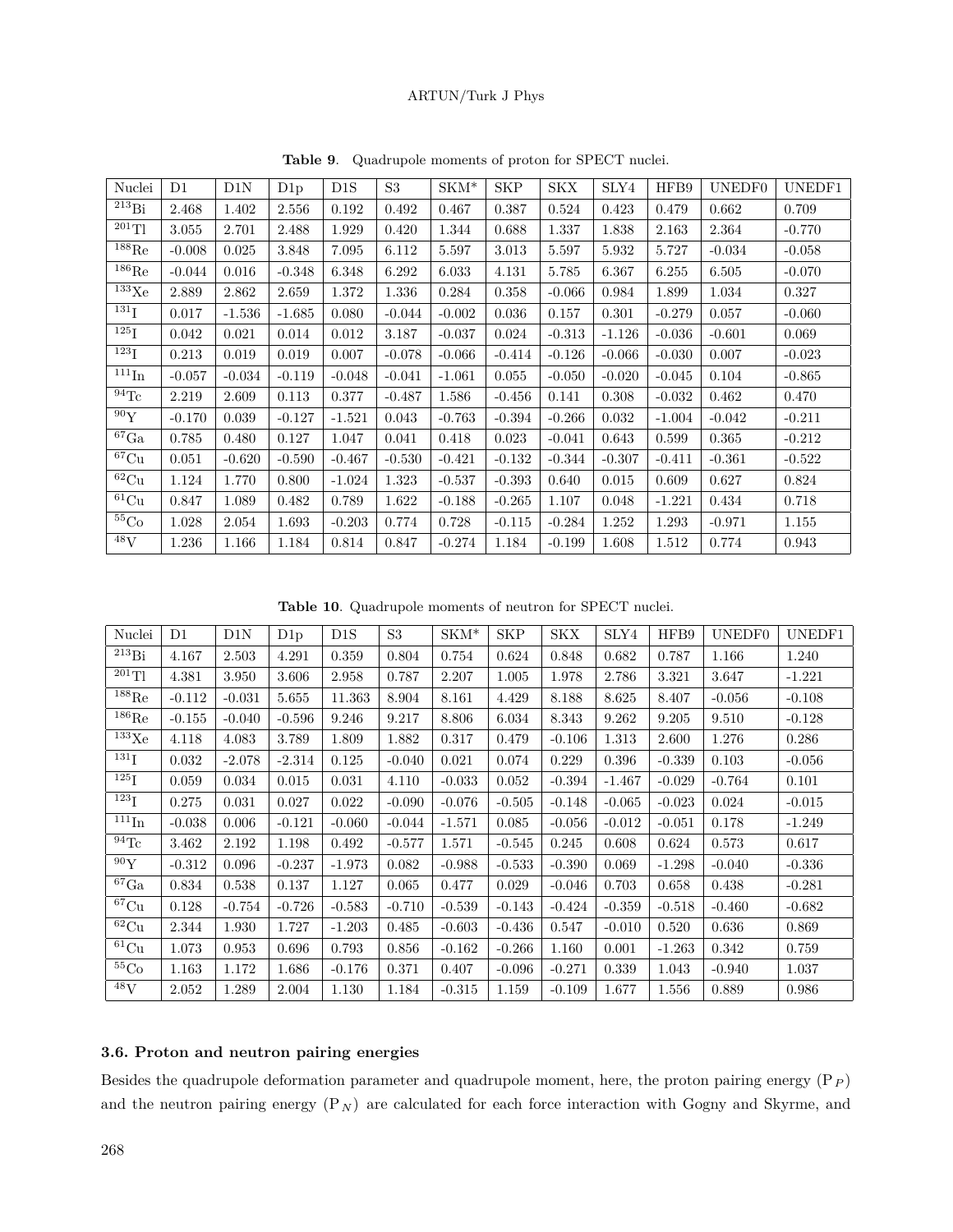| Nuclei               | $\rm D1$ | D1N      | D1p      | D <sub>1</sub> S | S <sub>3</sub> | $SKM^*$  | <b>SKP</b> | SKX      | SLY4     | HFB9     | UNEDF0   | UNEDF1   |
|----------------------|----------|----------|----------|------------------|----------------|----------|------------|----------|----------|----------|----------|----------|
| $^{213}Bi$           | 2.468    | 1.402    | 2.556    | 0.192            | 0.492          | 0.467    | 0.387      | 0.524    | 0.423    | 0.479    | 0.662    | 0.709    |
| $^{201}$ Tl          | 3.055    | 2.701    | 2.488    | 1.929            | 0.420          | 1.344    | 0.688      | 1.337    | 1.838    | 2.163    | 2.364    | $-0.770$ |
| $^{188}\mathrm{Re}$  | $-0.008$ | 0.025    | 3.848    | 7.095            | 6.112          | 5.597    | 3.013      | 5.597    | 5.932    | 5.727    | $-0.034$ | $-0.058$ |
| $^{186}\mathrm{Re}$  | $-0.044$ | 0.016    | $-0.348$ | 6.348            | 6.292          | 6.033    | 4.131      | 5.785    | 6.367    | 6.255    | 6.505    | $-0.070$ |
| $^{133}\mathrm{Xe}$  | 2.889    | 2.862    | 2.659    | 1.372            | 1.336          | 0.284    | 0.358      | $-0.066$ | 0.984    | 1.899    | 1.034    | 0.327    |
| $^{131}$ I           | 0.017    | $-1.536$ | $-1.685$ | 0.080            | $-0.044$       | $-0.002$ | 0.036      | 0.157    | 0.301    | $-0.279$ | 0.057    | $-0.060$ |
| $^{125}\mathrm{I}$   | 0.042    | 0.021    | 0.014    | 0.012            | 3.187          | $-0.037$ | 0.024      | $-0.313$ | $-1.126$ | $-0.036$ | $-0.601$ | 0.069    |
| $^{123}$ I           | 0.213    | 0.019    | 0.019    | 0.007            | $-0.078$       | $-0.066$ | $-0.414$   | $-0.126$ | $-0.066$ | $-0.030$ | 0.007    | $-0.023$ |
| $^{111}$ In          | $-0.057$ | $-0.034$ | $-0.119$ | $-0.048$         | $-0.041$       | $-1.061$ | 0.055      | $-0.050$ | $-0.020$ | $-0.045$ | 0.104    | $-0.865$ |
| $^{94}\mathrm{Tc}$   | 2.219    | 2.609    | 0.113    | 0.377            | $-0.487$       | 1.586    | $-0.456$   | 0.141    | 0.308    | $-0.032$ | 0.462    | 0.470    |
| 90Y                  | $-0.170$ | 0.039    | $-0.127$ | $-1.521$         | 0.043          | $-0.763$ | $-0.394$   | $-0.266$ | 0.032    | $-1.004$ | $-0.042$ | $-0.211$ |
| ${}^{67}\mathrm{Ga}$ | 0.785    | 0.480    | 0.127    | 1.047            | 0.041          | 0.418    | 0.023      | $-0.041$ | 0.643    | 0.599    | 0.365    | $-0.212$ |
| ${}^{67}{\rm Cu}$    | 0.051    | $-0.620$ | $-0.590$ | $-0.467$         | $-0.530$       | $-0.421$ | $-0.132$   | $-0.344$ | $-0.307$ | $-0.411$ | $-0.361$ | $-0.522$ |
| $\overline{62}$ Cu   | 1.124    | 1.770    | 0.800    | $-1.024$         | 1.323          | $-0.537$ | $-0.393$   | 0.640    | 0.015    | 0.609    | 0.627    | 0.824    |
| ${}^{61}$ Cu         | 0.847    | 1.089    | 0.482    | 0.789            | 1.622          | $-0.188$ | $-0.265$   | 1.107    | 0.048    | $-1.221$ | 0.434    | 0.718    |
| ${}^{55}Co$          | 1.028    | 2.054    | 1.693    | $-0.203$         | 0.774          | 0.728    | $-0.115$   | $-0.284$ | 1.252    | 1.293    | $-0.971$ | 1.155    |
| $^{48}$ V            | 1.236    | 1.166    | 1.184    | 0.814            | 0.847          | $-0.274$ | 1.184      | $-0.199$ | 1.608    | 1.512    | 0.774    | 0.943    |

**Table 9**. Quadrupole moments of proton for SPECT nuclei.

**Table 10**. Quadrupole moments of neutron for SPECT nuclei.

| Nuclei                     | D1       | D1N      | D1p      | D1S      | S3       | $SKM^*$  | <b>SKP</b> | SKX      | SLY4     | HFB9     | UNEDF0   | UNEDF1   |
|----------------------------|----------|----------|----------|----------|----------|----------|------------|----------|----------|----------|----------|----------|
| $^{213}Bi$                 | 4.167    | 2.503    | 4.291    | 0.359    | 0.804    | 0.754    | 0.624      | 0.848    | 0.682    | 0.787    | 1.166    | 1.240    |
| $^{201}\mathrm{Tl}$        | 4.381    | 3.950    | 3.606    | 2.958    | 0.787    | 2.207    | 1.005      | 1.978    | 2.786    | 3.321    | 3.647    | $-1.221$ |
| $^{188}\mathrm{Re}$        | $-0.112$ | $-0.031$ | 5.655    | 11.363   | 8.904    | 8.161    | 4.429      | 8.188    | 8.625    | 8.407    | $-0.056$ | $-0.108$ |
| $^{186}\mathrm{Re}$        | $-0.155$ | $-0.040$ | $-0.596$ | 9.246    | 9.217    | 8.806    | 6.034      | 8.343    | 9.262    | 9.205    | 9.510    | $-0.128$ |
| $^{133}\mathrm{Xe}$        | 4.118    | 4.083    | 3.789    | 1.809    | 1.882    | 0.317    | 0.479      | $-0.106$ | 1.313    | 2.600    | 1.276    | 0.286    |
| $^{131}$ I                 | 0.032    | $-2.078$ | $-2.314$ | 0.125    | $-0.040$ | 0.021    | 0.074      | 0.229    | 0.396    | $-0.339$ | 0.103    | $-0.056$ |
| $^{125}\mathrm{I}$         | 0.059    | 0.034    | 0.015    | 0.031    | 4.110    | $-0.033$ | 0.052      | $-0.394$ | $-1.467$ | $-0.029$ | $-0.764$ | 0.101    |
| 123 <sub>I</sub>           | 0.275    | 0.031    | 0.027    | 0.022    | $-0.090$ | $-0.076$ | $-0.505$   | $-0.148$ | $-0.065$ | $-0.023$ | 0.024    | $-0.015$ |
| $^{111}\mathrm{In}$        | $-0.038$ | 0.006    | $-0.121$ | $-0.060$ | $-0.044$ | $-1.571$ | 0.085      | $-0.056$ | $-0.012$ | $-0.051$ | 0.178    | $-1.249$ |
| $^{94}\mathrm{Tc}$         | 3.462    | 2.192    | 1.198    | 0.492    | $-0.577$ | 1.571    | $-0.545$   | 0.245    | 0.608    | 0.624    | 0.573    | 0.617    |
| $\overline{^{90}\text{Y}}$ | $-0.312$ | 0.096    | $-0.237$ | $-1.973$ | 0.082    | $-0.988$ | $-0.533$   | $-0.390$ | 0.069    | $-1.298$ | $-0.040$ | $-0.336$ |
| $\rm ^{67}Ga$              | 0.834    | 0.538    | 0.137    | 1.127    | 0.065    | 0.477    | 0.029      | $-0.046$ | 0.703    | 0.658    | 0.438    | $-0.281$ |
| ${}^{67}{\rm Cu}$          | 0.128    | $-0.754$ | $-0.726$ | $-0.583$ | $-0.710$ | $-0.539$ | $-0.143$   | $-0.424$ | $-0.359$ | $-0.518$ | $-0.460$ | $-0.682$ |
| $^{62}{\rm Cu}$            | 2.344    | 1.930    | 1.727    | $-1.203$ | 0.485    | $-0.603$ | $-0.436$   | 0.547    | $-0.010$ | 0.520    | 0.636    | 0.869    |
| ${}^{61}Cu$                | 1.073    | 0.953    | 0.696    | 0.793    | 0.856    | $-0.162$ | $-0.266$   | 1.160    | 0.001    | $-1.263$ | 0.342    | 0.759    |
| ${}^{55}\mathrm{Co}$       | 1.163    | 1.172    | 1.686    | $-0.176$ | 0.371    | 0.407    | $-0.096$   | $-0.271$ | 0.339    | 1.043    | $-0.940$ | 1.037    |
| $\overline{^{48}}V$        | 2.052    | 1.289    | 2.004    | 1.130    | 1.184    | $-0.315$ | 1.159      | $-0.109$ | 1.677    | 1.556    | 0.889    | 0.986    |

# **3.6. Proton and neutron pairing energies**

Besides the quadrupole deformation parameter and quadrupole moment, here, the proton pairing energy (P*<sup>P</sup>* ) and the neutron pairing energy  $(P_N)$  are calculated for each force interaction with Gogny and Skyrme, and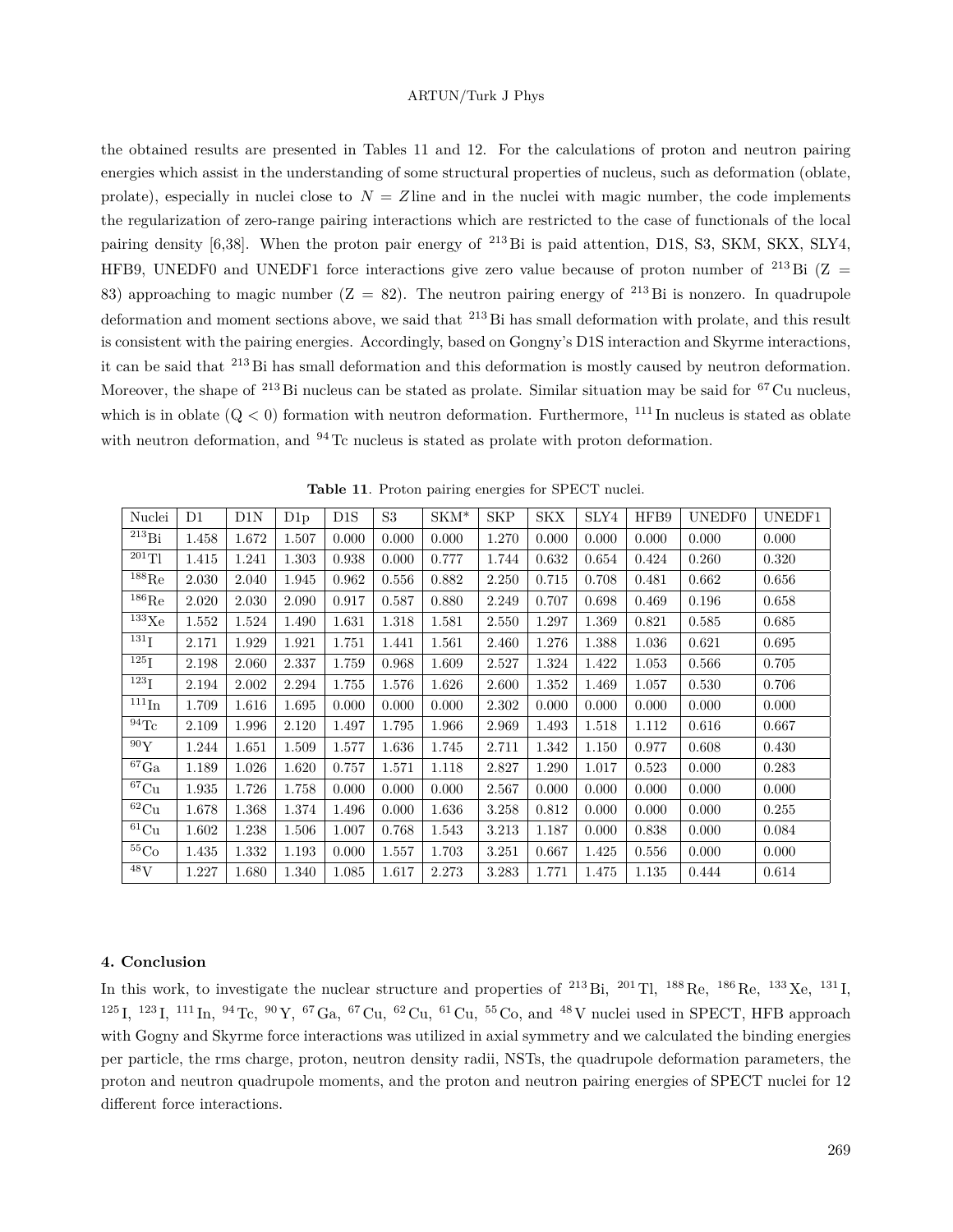the obtained results are presented in Tables 11 and 12. For the calculations of proton and neutron pairing energies which assist in the understanding of some structural properties of nucleus, such as deformation (oblate, prolate), especially in nuclei close to  $N = Z$  line and in the nuclei with magic number, the code implements the regularization of zero-range pairing interactions which are restricted to the case of functionals of the local pairing density [6,38]. When the proton pair energy of <sup>213</sup>Bi is paid attention, D1S, S3, SKM, SKX, SLY4, HFB9, UNEDF0 and UNEDF1 force interactions give zero value because of proton number of <sup>213</sup> Bi (Z = 83) approaching to magic number  $(Z = 82)$ . The neutron pairing energy of <sup>213</sup>Bi is nonzero. In quadrupole deformation and moment sections above, we said that <sup>213</sup> Bi has small deformation with prolate, and this result is consistent with the pairing energies. Accordingly, based on Gongny's D1S interaction and Skyrme interactions, it can be said that <sup>213</sup> Bi has small deformation and this deformation is mostly caused by neutron deformation. Moreover, the shape of <sup>213</sup> Bi nucleus can be stated as prolate. Similar situation may be said for <sup>67</sup> Cu nucleus, which is in oblate  $(Q < 0)$  formation with neutron deformation. Furthermore,  $^{111}$  In nucleus is stated as oblate with neutron deformation, and  $94$  Tc nucleus is stated as prolate with proton deformation.

| Nuclei                | D1    | D1N   | D1p   | $_{\rm DIS}$ | S3    | $SKM*$ | <b>SKP</b> | <b>SKX</b> | SLY4  | HFB9  | UNEDF0 | UNEDF1 |
|-----------------------|-------|-------|-------|--------------|-------|--------|------------|------------|-------|-------|--------|--------|
| $^{213}Bi$            | 1.458 | 1.672 | 1.507 | 0.000        | 0.000 | 0.000  | 1.270      | 0.000      | 0.000 | 0.000 | 0.000  | 0.000  |
| $^{201}$ Tl           | 1.415 | 1.241 | 1.303 | 0.938        | 0.000 | 0.777  | 1.744      | 0.632      | 0.654 | 0.424 | 0.260  | 0.320  |
| $^{188}\mathrm{Re}$   | 2.030 | 2.040 | 1.945 | 0.962        | 0.556 | 0.882  | 2.250      | 0.715      | 0.708 | 0.481 | 0.662  | 0.656  |
| $^{186}\mathrm{Re}$   | 2.020 | 2.030 | 2.090 | 0.917        | 0.587 | 0.880  | 2.249      | 0.707      | 0.698 | 0.469 | 0.196  | 0.658  |
| $^{133}\mathrm{Xe}$   | 1.552 | 1.524 | 1.490 | 1.631        | 1.318 | 1.581  | 2.550      | 1.297      | 1.369 | 0.821 | 0.585  | 0.685  |
| $^{131}$ I            | 2.171 | 1.929 | 1.921 | 1.751        | 1.441 | 1.561  | 2.460      | 1.276      | 1.388 | 1.036 | 0.621  | 0.695  |
| $^{125}\mathrm{I}$    | 2.198 | 2.060 | 2.337 | 1.759        | 0.968 | 1.609  | 2.527      | 1.324      | 1.422 | 1.053 | 0.566  | 0.705  |
| 123 <sub>I</sub>      | 2.194 | 2.002 | 2.294 | 1.755        | 1.576 | 1.626  | 2.600      | 1.352      | 1.469 | 1.057 | 0.530  | 0.706  |
| $^{111}\mathrm{In}$   | 1.709 | 1.616 | 1.695 | 0.000        | 0.000 | 0.000  | 2.302      | 0.000      | 0.000 | 0.000 | 0.000  | 0.000  |
| $\overline{94}$ Tc    | 2.109 | 1.996 | 2.120 | 1.497        | 1.795 | 1.966  | 2.969      | 1.493      | 1.518 | 1.112 | 0.616  | 0.667  |
| 90Y                   | 1.244 | 1.651 | 1.509 | 1.577        | 1.636 | 1.745  | 2.711      | 1.342      | 1.150 | 0.977 | 0.608  | 0.430  |
| ${}^{67}\mathrm{Ga}$  | 1.189 | 1.026 | 1.620 | 0.757        | 1.571 | 1.118  | 2.827      | 1.290      | 1.017 | 0.523 | 0.000  | 0.283  |
| $\overline{^{67}}$ Cu | 1.935 | 1.726 | 1.758 | 0.000        | 0.000 | 0.000  | 2.567      | 0.000      | 0.000 | 0.000 | 0.000  | 0.000  |
| ${}^{62}{\rm Cu}$     | 1.678 | 1.368 | 1.374 | 1.496        | 0.000 | 1.636  | 3.258      | 0.812      | 0.000 | 0.000 | 0.000  | 0.255  |
| $\overline{61}$ Cu    | 1.602 | 1.238 | 1.506 | 1.007        | 0.768 | 1.543  | 3.213      | 1.187      | 0.000 | 0.838 | 0.000  | 0.084  |
| ${}^{55}\mathrm{Co}$  | 1.435 | 1.332 | 1.193 | 0.000        | 1.557 | 1.703  | 3.251      | 0.667      | 1.425 | 0.556 | 0.000  | 0.000  |
| $^{48}{\rm V}$        | 1.227 | 1.680 | 1.340 | 1.085        | 1.617 | 2.273  | 3.283      | 1.771      | 1.475 | 1.135 | 0.444  | 0.614  |

**Table 11**. Proton pairing energies for SPECT nuclei.

## **4. Conclusion**

In this work, to investigate the nuclear structure and properties of <sup>213</sup> Bi, <sup>201</sup> Tl, <sup>188</sup> Re, <sup>186</sup> Re, <sup>133</sup> Xe, <sup>131</sup> I, <sup>125</sup> I, <sup>123</sup> I, <sup>111</sup> In, <sup>94</sup> Tc, <sup>90</sup> Y, <sup>67</sup>Ga, <sup>67</sup> Cu, <sup>62</sup> Cu, <sup>61</sup> Cu, <sup>55</sup> Co, and <sup>48</sup> V nuclei used in SPECT, HFB approach with Gogny and Skyrme force interactions was utilized in axial symmetry and we calculated the binding energies per particle, the rms charge, proton, neutron density radii, NSTs, the quadrupole deformation parameters, the proton and neutron quadrupole moments, and the proton and neutron pairing energies of SPECT nuclei for 12 different force interactions.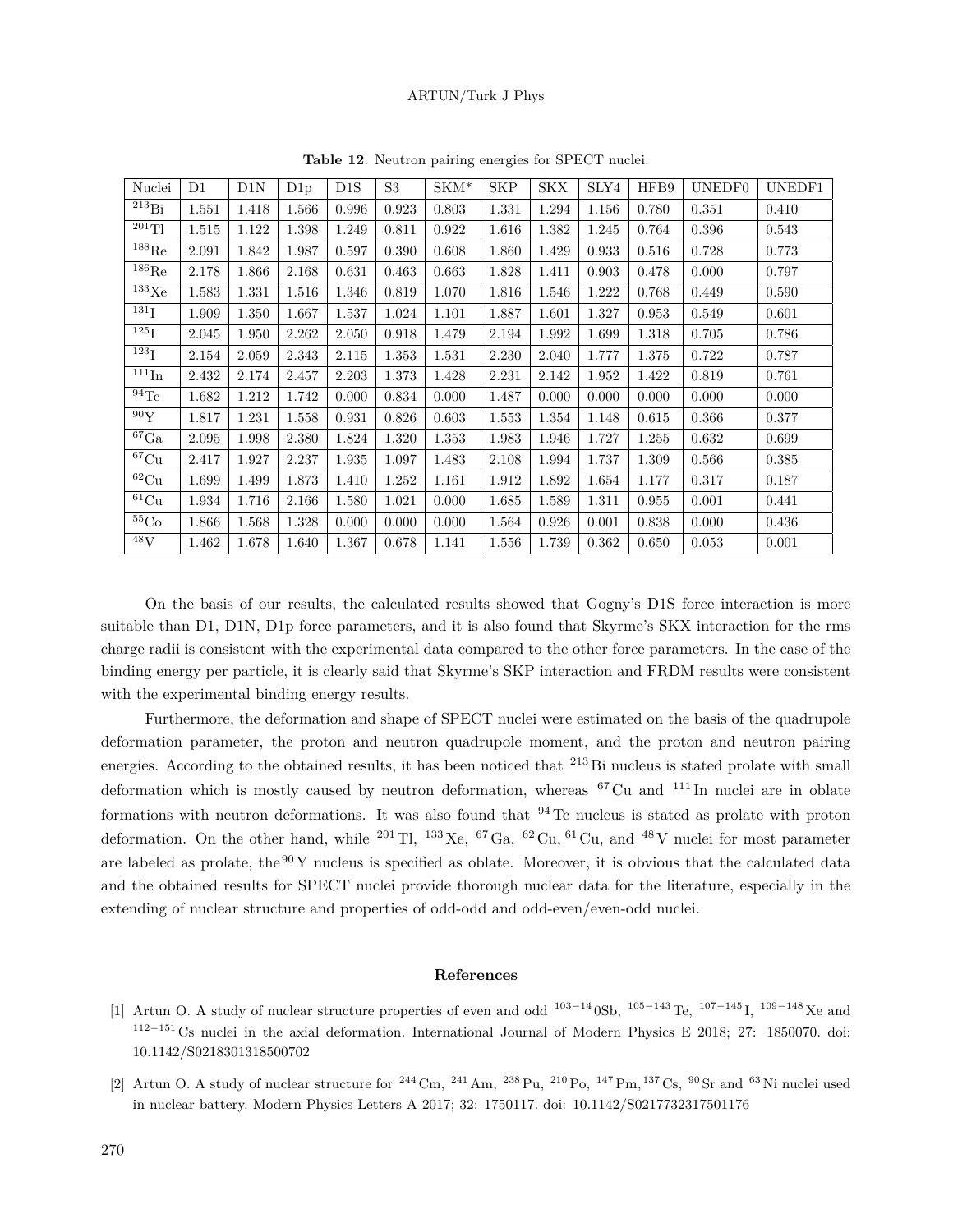| Nuclei              | D1    | D1N   | D1p   | D <sub>1</sub> S | S <sub>3</sub> | $SKM*$ | <b>SKP</b> | <b>SKX</b> | SLY4  | HFB9  | UNEDF0 | UNEDF1 |
|---------------------|-------|-------|-------|------------------|----------------|--------|------------|------------|-------|-------|--------|--------|
| $^{213}\mathrm{Bi}$ | 1.551 | 1.418 | 1.566 | 0.996            | 0.923          | 0.803  | 1.331      | 1.294      | 1.156 | 0.780 | 0.351  | 0.410  |
| $^{201}$ Tl         | 1.515 | 1.122 | 1.398 | 1.249            | 0.811          | 0.922  | 1.616      | 1.382      | 1.245 | 0.764 | 0.396  | 0.543  |
| $^{188}\mathrm{Re}$ | 2.091 | 1.842 | 1.987 | 0.597            | 0.390          | 0.608  | 1.860      | 1.429      | 0.933 | 0.516 | 0.728  | 0.773  |
| $^{186}\mathrm{Re}$ | 2.178 | 1.866 | 2.168 | 0.631            | 0.463          | 0.663  | 1.828      | 1.411      | 0.903 | 0.478 | 0.000  | 0.797  |
| $^{133}\mathrm{Xe}$ | 1.583 | 1.331 | 1.516 | 1.346            | 0.819          | 1.070  | 1.816      | 1.546      | 1.222 | 0.768 | 0.449  | 0.590  |
| $^{131}$ I          | 1.909 | 1.350 | 1.667 | 1.537            | 1.024          | 1.101  | 1.887      | 1.601      | 1.327 | 0.953 | 0.549  | 0.601  |
| $^{125}\mathrm{I}$  | 2.045 | 1.950 | 2.262 | 2.050            | 0.918          | 1.479  | 2.194      | 1.992      | 1.699 | 1.318 | 0.705  | 0.786  |
| $^{123}$ I          | 2.154 | 2.059 | 2.343 | 2.115            | 1.353          | 1.531  | 2.230      | 2.040      | 1.777 | 1.375 | 0.722  | 0.787  |
| $^{111}\mathrm{In}$ | 2.432 | 2.174 | 2.457 | 2.203            | 1.373          | 1.428  | 2.231      | 2.142      | 1.952 | 1.422 | 0.819  | 0.761  |
| $^{94}$ Tc          | 1.682 | 1.212 | 1.742 | 0.000            | 0.834          | 0.000  | 1.487      | 0.000      | 0.000 | 0.000 | 0.000  | 0.000  |
| $^{90}\mathrm{Y}$   | 1.817 | 1.231 | 1.558 | 0.931            | 0.826          | 0.603  | 1.553      | 1.354      | 1.148 | 0.615 | 0.366  | 0.377  |
| $67\text{Ga}$       | 2.095 | 1.998 | 2.380 | 1.824            | 1.320          | 1.353  | 1.983      | 1.946      | 1.727 | 1.255 | 0.632  | 0.699  |
| ${}^{67}{\rm Cu}$   | 2.417 | 1.927 | 2.237 | 1.935            | 1.097          | 1.483  | 2.108      | 1.994      | 1.737 | 1.309 | 0.566  | 0.385  |
| ${}^{62}{\rm Cu}$   | 1.699 | 1.499 | 1.873 | 1.410            | 1.252          | 1.161  | 1.912      | 1.892      | 1.654 | 1.177 | 0.317  | 0.187  |
| ${}^{61}$ Cu        | 1.934 | 1.716 | 2.166 | 1.580            | 1.021          | 0.000  | 1.685      | 1.589      | 1.311 | 0.955 | 0.001  | 0.441  |
| $^{55}\mathrm{Co}$  | 1.866 | 1.568 | 1.328 | 0.000            | 0.000          | 0.000  | 1.564      | 0.926      | 0.001 | 0.838 | 0.000  | 0.436  |
| $^{48}V$            | 1.462 | 1.678 | 1.640 | 1.367            | 0.678          | 1.141  | 1.556      | 1.739      | 0.362 | 0.650 | 0.053  | 0.001  |

**Table 12**. Neutron pairing energies for SPECT nuclei.

On the basis of our results, the calculated results showed that Gogny's D1S force interaction is more suitable than D1, D1N, D1p force parameters, and it is also found that Skyrme's SKX interaction for the rms charge radii is consistent with the experimental data compared to the other force parameters. In the case of the binding energy per particle, it is clearly said that Skyrme's SKP interaction and FRDM results were consistent with the experimental binding energy results.

Furthermore, the deformation and shape of SPECT nuclei were estimated on the basis of the quadrupole deformation parameter, the proton and neutron quadrupole moment, and the proton and neutron pairing energies. According to the obtained results, it has been noticed that <sup>213</sup>Bi nucleus is stated prolate with small deformation which is mostly caused by neutron deformation, whereas <sup>67</sup> Cu and <sup>111</sup> In nuclei are in oblate formations with neutron deformations. It was also found that  $94$ Tc nucleus is stated as prolate with proton deformation. On the other hand, while <sup>201</sup> Tl, <sup>133</sup> Xe, <sup>67</sup> Ga, <sup>62</sup> Cu, <sup>61</sup> Cu, and <sup>48</sup> V nuclei for most parameter are labeled as prolate, the  $90Y$  nucleus is specified as oblate. Moreover, it is obvious that the calculated data and the obtained results for SPECT nuclei provide thorough nuclear data for the literature, especially in the extending of nuclear structure and properties of odd-odd and odd-even/even-odd nuclei.

#### **References**

- [1] Artun O. A study of nuclear structure properties of even and odd <sup>103</sup>*−*<sup>14</sup> 0Sb, <sup>105</sup>*−*<sup>143</sup> Te, <sup>107</sup>*−*<sup>145</sup> I, <sup>109</sup>*−*<sup>148</sup> Xe and <sup>112</sup>*−*<sup>151</sup> Cs nuclei in the axial deformation. International Journal of Modern Physics E 2018; 27: 1850070. doi: 10.1142/S0218301318500702
- [2] Artun O. A study of nuclear structure for  $^{244}$  Cm,  $^{241}$  Am,  $^{238}$  Pu,  $^{210}$  Po,  $^{147}$  Pm,  $^{137}$  Cs,  $^{90}$  Sr and  $^{63}$  Ni nuclei used in nuclear battery. Modern Physics Letters A 2017; 32: 1750117. doi: 10.1142/S0217732317501176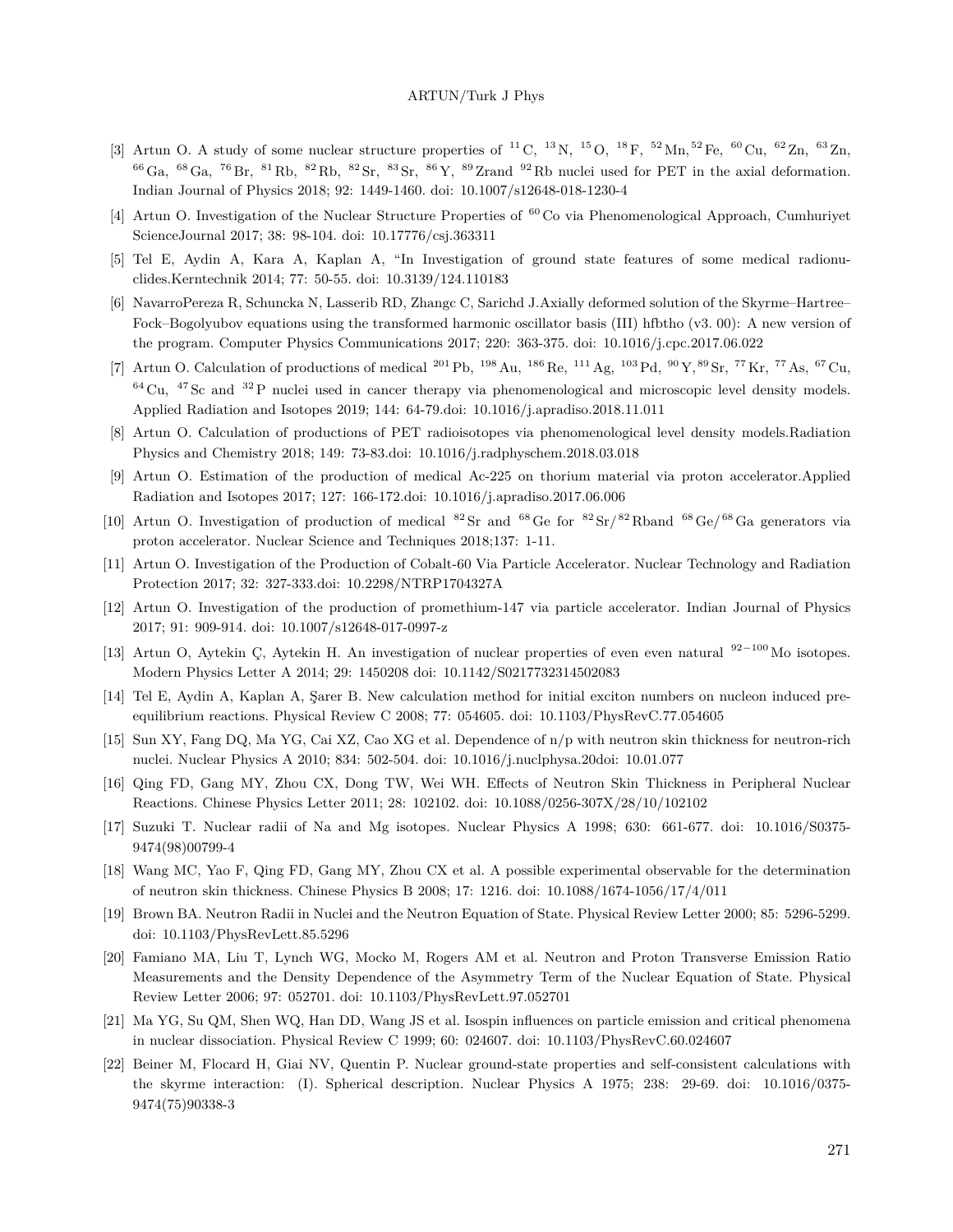- [3] Artun O. A study of some nuclear structure properties of <sup>11</sup> C, <sup>13</sup> N, <sup>15</sup> O, <sup>18</sup> F, <sup>52</sup> Mn, <sup>52</sup> Fe, <sup>60</sup> Cu, <sup>62</sup> Zn, <sup>63</sup> Zn,  $^{66}$  Ga,  $^{68}$  Ga,  $^{76}$  Br,  $^{81}$  Rb,  $^{82}$  Rb,  $^{82}$  Sr,  $^{83}$  Sr,  $^{86}$  Y,  $^{89}$  Zrand  $^{92}$  Rb nuclei used for PET in the axial deformation. Indian Journal of Physics 2018; 92: 1449-1460. doi: 10.1007/s12648-018-1230-4
- [4] Artun O. Investigation of the Nuclear Structure Properties of <sup>60</sup> Co via Phenomenological Approach, Cumhuriyet ScienceJournal 2017; 38: 98-104. doi: 10.17776/csj.363311
- [5] Tel E, Aydin A, Kara A, Kaplan A, "In Investigation of ground state features of some medical radionuclides.Kerntechnik 2014; 77: 50-55. doi: 10.3139/124.110183
- [6] NavarroPereza R, Schuncka N, Lasserib RD, Zhangc C, Sarichd J.Axially deformed solution of the Skyrme–Hartree– Fock–Bogolyubov equations using the transformed harmonic oscillator basis (III) hfbtho (v3. 00): A new version of the program. Computer Physics Communications 2017; 220: 363-375. doi: 10.1016/j.cpc.2017.06.022
- [7] Artun O. Calculation of productions of medical <sup>201</sup> Pb, <sup>198</sup> Au, <sup>186</sup> Re, <sup>111</sup> Ag, <sup>103</sup> Pd, <sup>90</sup> Y, <sup>89</sup> Sr, <sup>77</sup> Kr, <sup>77</sup> As, <sup>67</sup> Cu,  $^{64}$  Cu,  $^{47}$  Sc and  $^{32}$  P nuclei used in cancer therapy via phenomenological and microscopic level density models. Applied Radiation and Isotopes 2019; 144: 64-79.doi: 10.1016/j.apradiso.2018.11.011
- [8] Artun O. Calculation of productions of PET radioisotopes via phenomenological level density models.Radiation Physics and Chemistry 2018; 149: 73-83.doi: 10.1016/j.radphyschem.2018.03.018
- [9] Artun O. Estimation of the production of medical Ac-225 on thorium material via proton accelerator.Applied Radiation and Isotopes 2017; 127: 166-172.doi: 10.1016/j.apradiso.2017.06.006
- [10] Artun O. Investigation of production of medical  ${}^{82}Sr$  and  ${}^{68}Ge$  for  ${}^{82}Sr/{}^{82}Rb$ and  ${}^{68}Ge/{}^{68}Ga$  generators via proton accelerator. Nuclear Science and Techniques 2018;137: 1-11.
- [11] Artun O. Investigation of the Production of Cobalt-60 Via Particle Accelerator. Nuclear Technology and Radiation Protection 2017; 32: 327-333.doi: 10.2298/NTRP1704327A
- [12] Artun O. Investigation of the production of promethium-147 via particle accelerator. Indian Journal of Physics 2017; 91: 909-914. doi: 10.1007/s12648-017-0997-z
- [13] Artun O, Aytekin Ç, Aytekin H. An investigation of nuclear properties of even even natural <sup>92</sup>*−*<sup>100</sup> Mo isotopes. Modern Physics Letter A 2014; 29: 1450208 doi: 10.1142/S0217732314502083
- [14] Tel E, Aydin A, Kaplan A, Şarer B. New calculation method for initial exciton numbers on nucleon induced preequilibrium reactions. Physical Review C 2008; 77: 054605. doi: 10.1103/PhysRevC.77.054605
- [15] Sun XY, Fang DQ, Ma YG, Cai XZ, Cao XG et al. Dependence of n/p with neutron skin thickness for neutron-rich nuclei. Nuclear Physics A 2010; 834: 502-504. doi: 10.1016/j.nuclphysa.20doi: 10.01.077
- [16] Qing FD, Gang MY, Zhou CX, Dong TW, Wei WH. Effects of Neutron Skin Thickness in Peripheral Nuclear Reactions. Chinese Physics Letter 2011; 28: 102102. doi: 10.1088/0256-307X/28/10/102102
- [17] Suzuki T. Nuclear radii of Na and Mg isotopes. Nuclear Physics A 1998; 630: 661-677. doi: 10.1016/S0375- 9474(98)00799-4
- [18] Wang MC, Yao F, Qing FD, Gang MY, Zhou CX et al. A possible experimental observable for the determination of neutron skin thickness. Chinese Physics B 2008; 17: 1216. doi: 10.1088/1674-1056/17/4/011
- [19] Brown BA. Neutron Radii in Nuclei and the Neutron Equation of State. Physical Review Letter 2000; 85: 5296-5299. doi: 10.1103/PhysRevLett.85.5296
- [20] Famiano MA, Liu T, Lynch WG, Mocko M, Rogers AM et al. Neutron and Proton Transverse Emission Ratio Measurements and the Density Dependence of the Asymmetry Term of the Nuclear Equation of State. Physical Review Letter 2006; 97: 052701. doi: 10.1103/PhysRevLett.97.052701
- [21] Ma YG, Su QM, Shen WQ, Han DD, Wang JS et al. Isospin influences on particle emission and critical phenomena in nuclear dissociation. Physical Review C 1999; 60: 024607. doi: 10.1103/PhysRevC.60.024607
- [22] Beiner M, Flocard H, Giai NV, Quentin P. Nuclear ground-state properties and self-consistent calculations with the skyrme interaction: (I). Spherical description. Nuclear Physics A 1975; 238: 29-69. doi: 10.1016/0375- 9474(75)90338-3